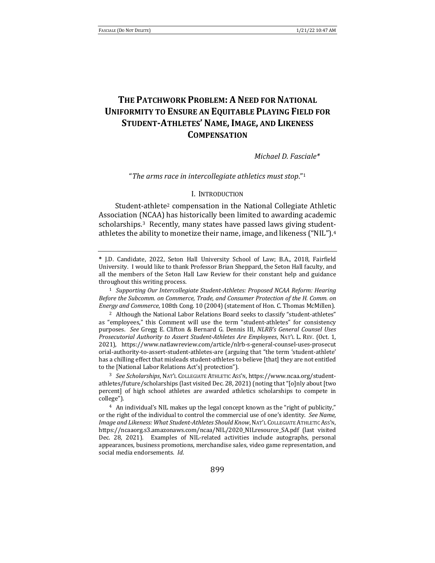# **THE PATCHWORK PROBLEM: A NEED FOR NATIONAL UNIFORMITY TO ENSURE AN EQUITABLE PLAYING FIELD FOR STUDENT-ATHLETES' NAME, IMAGE, AND LIKENESS COMPENSATION**

*Michael D. Fasciale\**

"The arms race in intercollegiate athletics must stop."<sup>1</sup>

#### I. INTRODUCTION

Student-athlete<sup>2</sup> compensation in the National Collegiate Athletic Association (NCAA) has historically been limited to awarding academic scholarships.<sup>3</sup> Recently, many states have passed laws giving studentathletes the ability to monetize their name, image, and likeness ("NIL").<sup>4</sup>

<sup>1</sup> Supporting Our Intercollegiate Student-Athletes: Proposed NCAA Reform: Hearing *Before the Subcomm. on Commerce, Trade, and Consumer Protection of the H. Comm. on Energy and Commerce*, 108th Cong. 10 (2004) (statement of Hon. C. Thomas McMillen).

<sup>2</sup> Although the National Labor Relations Board seeks to classify "student-athletes" as "employees," this Comment will use the term "student-athletes" for consistency purposes. See Gregg E. Clifton & Bernard G. Dennis III, *NLRB's General Counsel Uses Prosecutorial Authority to Assert Student-Athletes Are Employees*, NAT'L L. REV. (Oct. 1, 2021), https://www.natlawreview.com/article/nlrb-s-general-counsel-uses-prosecut orial-authority-to-assert-student-athletes-are (arguing that "the term 'student-athlete' has a chilling effect that misleads student-athletes to believe [that] they are not entitled to the [National Labor Relations Act's] protection").

<sup>3</sup> See Scholarships, NAT'L COLLEGIATE ATHLETIC Ass'N, https://www.ncaa.org/studentathletes/future/scholarships (last visited Dec. 28, 2021) (noting that "[o]nly about [two percent] of high school athletes are awarded athletics scholarships to compete in college"). 

 $4$  An individual's NIL makes up the legal concept known as the "right of publicity," or the right of the individual to control the commercial use of one's identity. See Name, Image and Likeness: What Student-Athletes Should Know, NAT'L COLLEGIATE ATHLETIC Ass'N, https://ncaaorg.s3.amazonaws.com/ncaa/NIL/2020\_NILresource\_SA.pdf (last visited Dec. 28, 2021). Examples of NIL-related activities include autographs, personal appearances, business promotions, merchandise sales, video game representation, and social media endorsements. *Id.* 

**<sup>\*</sup>** J.D. Candidate, 2022, Seton Hall University School of Law; B.A., 2018, Fairfield University. I would like to thank Professor Brian Sheppard, the Seton Hall faculty, and all the members of the Seton Hall Law Review for their constant help and guidance throughout this writing process.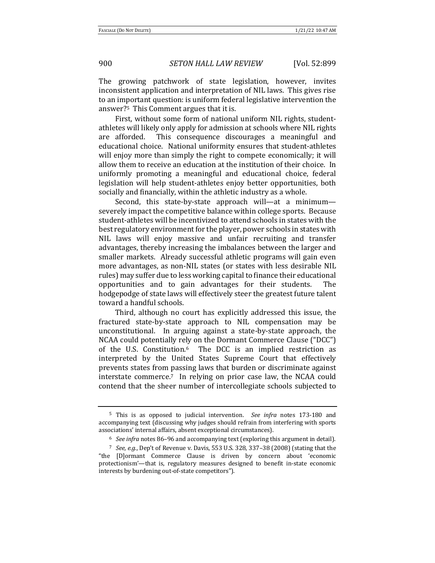The growing patchwork of state legislation, however, invites inconsistent application and interpretation of NIL laws. This gives rise to an important question: is uniform federal legislative intervention the answer?<sup>5</sup> This Comment argues that it is.

First, without some form of national uniform NIL rights, studentathletes will likely only apply for admission at schools where NIL rights are afforded. This consequence discourages a meaningful and educational choice. National uniformity ensures that student-athletes will enjoy more than simply the right to compete economically; it will allow them to receive an education at the institution of their choice. In uniformly promoting a meaningful and educational choice, federal legislation will help student-athletes enjoy better opportunities, both socially and financially, within the athletic industry as a whole.

Second, this state-by-state approach will—at a minimum severely impact the competitive balance within college sports. Because student-athletes will be incentivized to attend schools in states with the best regulatory environment for the player, power schools in states with NIL laws will enjoy massive and unfair recruiting and transfer advantages, thereby increasing the imbalances between the larger and smaller markets. Already successful athletic programs will gain even more advantages, as non-NIL states (or states with less desirable NIL rules) may suffer due to less working capital to finance their educational opportunities and to gain advantages for their students. The hodgepodge of state laws will effectively steer the greatest future talent toward a handful schools.

Third, although no court has explicitly addressed this issue, the fractured state-by-state approach to NIL compensation may be unconstitutional. In arguing against a state-by-state approach, the NCAA could potentially rely on the Dormant Commerce Clause ("DCC") of the U.S. Constitution. $6$  The DCC is an implied restriction as interpreted by the United States Supreme Court that effectively prevents states from passing laws that burden or discriminate against interstate commerce.<sup>7</sup> In relying on prior case law, the NCAA could contend that the sheer number of intercollegiate schools subjected to

<sup>&</sup>lt;sup>5</sup> This is as opposed to judicial intervention. *See infra* notes 173-180 and accompanying text (discussing why judges should refrain from interfering with sports associations' internal affairs, absent exceptional circumstances).

<sup>&</sup>lt;sup>6</sup> See infra notes 86-96 and accompanying text (exploring this argument in detail).

<sup>&</sup>lt;sup>7</sup> *See, e.g.*, Dep't of Revenue v. Davis, 553 U.S. 328, 337-38 (2008) (stating that the "the [D]ormant Commerce Clause is driven by concern about 'economic protectionism'—that is, regulatory measures designed to benefit in-state economic interests by burdening out-of-state competitors").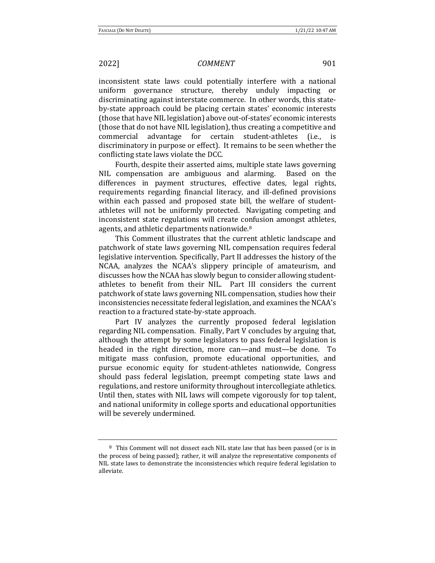inconsistent state laws could potentially interfere with a national uniform governance structure, thereby unduly impacting or discriminating against interstate commerce. In other words, this stateby-state approach could be placing certain states' economic interests (those that have NIL legislation) above out-of-states' economic interests (those that do not have NIL legislation), thus creating a competitive and commercial advantage for certain student-athletes (i.e., discriminatory in purpose or effect). It remains to be seen whether the conflicting state laws violate the DCC.

Fourth, despite their asserted aims, multiple state laws governing NIL compensation are ambiguous and alarming. Based on the differences in payment structures, effective dates, legal rights, requirements regarding financial literacy, and ill-defined provisions within each passed and proposed state bill, the welfare of studentathletes will not be uniformly protected. Navigating competing and inconsistent state regulations will create confusion amongst athletes, agents, and athletic departments nationwide.<sup>8</sup>

This Comment illustrates that the current athletic landscape and patchwork of state laws governing NIL compensation requires federal legislative intervention. Specifically, Part II addresses the history of the NCAA, analyzes the NCAA's slippery principle of amateurism, and discusses how the NCAA has slowly begun to consider allowing studentathletes to benefit from their NIL. Part III considers the current patchwork of state laws governing NIL compensation, studies how their inconsistencies necessitate federal legislation, and examines the NCAA's reaction to a fractured state-by-state approach.

Part IV analyzes the currently proposed federal legislation regarding NIL compensation. Finally, Part V concludes by arguing that, although the attempt by some legislators to pass federal legislation is headed in the right direction, more can—and must—be done. To mitigate mass confusion, promote educational opportunities, and pursue economic equity for student-athletes nationwide, Congress should pass federal legislation, preempt competing state laws and regulations, and restore uniformity throughout intercollegiate athletics. Until then, states with NIL laws will compete vigorously for top talent, and national uniformity in college sports and educational opportunities will be severely undermined.

<sup>&</sup>lt;sup>8</sup> This Comment will not dissect each NIL state law that has been passed (or is in the process of being passed); rather, it will analyze the representative components of NIL state laws to demonstrate the inconsistencies which require federal legislation to alleviate.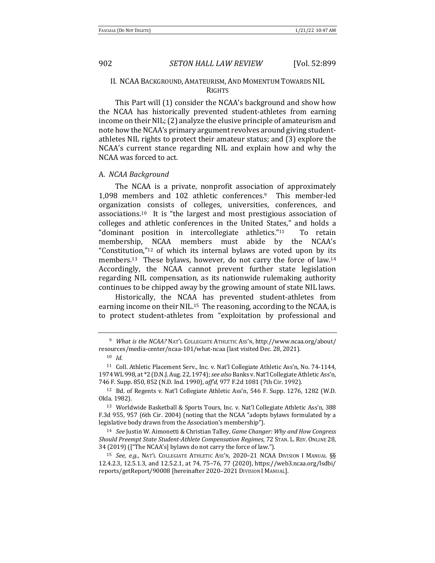### II. NCAA BACKGROUND, AMATEURISM, AND MOMENTUM TOWARDS NIL RIGHTS

This Part will (1) consider the NCAA's background and show how the NCAA has historically prevented student-athletes from earning income on their NIL; (2) analyze the elusive principle of amateurism and note how the NCAA's primary argument revolves around giving studentathletes NIL rights to protect their amateur status; and (3) explore the NCAA's current stance regarding NIL and explain how and why the NCAA was forced to act.

#### A. *NCAA Background*

The NCAA is a private, nonprofit association of approximately 1,098 members and 102 athletic conferences.<sup>9</sup> This member-led organization consists of colleges, universities, conferences, and associations.<sup>10</sup> It is "the largest and most prestigious association of colleges and athletic conferences in the United States," and holds a "dominant position in intercollegiate athletics." $11$  To retain membership, NCAA members must abide by the NCAA's "Constitution," $12$  of which its internal bylaws are voted upon by its members.<sup>13</sup> These bylaws, however, do not carry the force of law.<sup>14</sup> Accordingly, the NCAA cannot prevent further state legislation regarding NIL compensation, as its nationwide rulemaking authority continues to be chipped away by the growing amount of state NIL laws.

Historically, the NCAA has prevented student-athletes from earning income on their NIL.<sup>15</sup> The reasoning, according to the NCAA, is to protect student-athletes from "exploitation by professional and

<sup>&</sup>lt;sup>9</sup> *What is the NCAA?* NAT'L COLLEGIATE ATHLETIC Ass'N, http://www.ncaa.org/about/ resources/media-center/ncaa-101/what-ncaa (last visited Dec. 28, 2021).

<sup>10</sup> *Id*. 

<sup>&</sup>lt;sup>11</sup> Coll. Athletic Placement Serv., Inc. v. Nat'l Collegiate Athletic Ass'n, No. 74-1144, 1974 WL 998, at \*2 (D.N.J. Aug. 22, 1974); see also Banks v. Nat'l Collegiate Athletic Ass'n, 746 F. Supp. 850, 852 (N.D. Ind. 1990), aff'd, 977 F.2d 1081 (7th Cir. 1992).

 $12$  Bd. of Regents v. Nat'l Collegiate Athletic Ass'n, 546 F. Supp. 1276, 1282 (W.D. Okla. 1982). 

<sup>&</sup>lt;sup>13</sup> Worldwide Basketball & Sports Tours, Inc. v. Nat'l Collegiate Athletic Ass'n, 388 F.3d 955, 957 (6th Cir. 2004) (noting that the NCAA "adopts bylaws formulated by a legislative body drawn from the Association's membership").

<sup>&</sup>lt;sup>14</sup> See Justin W. Aimonetti & Christian Talley, *Game Changer: Why and How Congress* Should Preempt State Student-Athlete Compensation Regimes, 72 STAN. L. REV. ONLINE 28, 34 (2019) (["The NCAA's] bylaws do not carry the force of law.").

<sup>&</sup>lt;sup>15</sup> *See, e.g.*, NAT'L COLLEGIATE ATHLETIC ASS'N, 2020-21 NCAA DIVISION I MANUAL §§ 12.4.2.3, 12.5.1.3, and 12.5.2.1, at 74, 75–76, 77 (2020), https://web3.ncaa.org/lsdbi/ reports/getReport/90008 [hereinafter 2020–2021 DIVISION I MANUAL].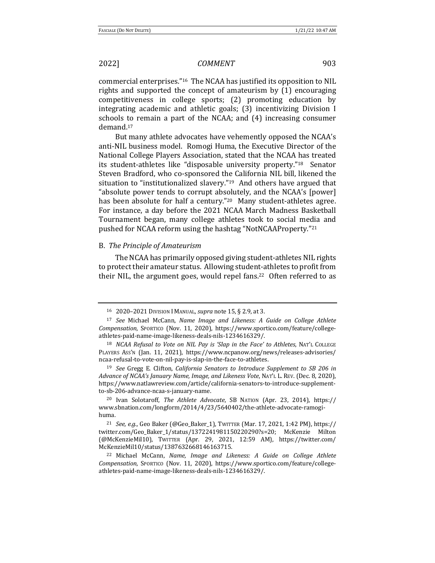commercial enterprises."<sup>16</sup> The NCAA has justified its opposition to NIL rights and supported the concept of amateurism by  $(1)$  encouraging competitiveness in college sports; (2) promoting education by integrating academic and athletic goals; (3) incentivizing Division I schools to remain a part of the NCAA; and (4) increasing consumer demand.17 

But many athlete advocates have vehemently opposed the NCAA's anti-NIL business model. Romogi Huma, the Executive Director of the National College Players Association, stated that the NCAA has treated its student-athletes like "disposable university property."<sup>18</sup> Senator Steven Bradford, who co-sponsored the California NIL bill, likened the situation to "institutionalized slavery." $19$  And others have argued that "absolute power tends to corrupt absolutely, and the NCAA's [power] has been absolute for half a century."<sup>20</sup> Many student-athletes agree. For instance, a day before the 2021 NCAA March Madness Basketball Tournament began, many college athletes took to social media and pushed for NCAA reform using the hashtag "NotNCAAProperty."21

#### B. *The Principle of Amateurism*

The NCAA has primarily opposed giving student-athletes NIL rights to protect their amateur status. Allowing student-athletes to profit from their NIL, the argument goes, would repel fans.<sup>22</sup> Often referred to as

<sup>20</sup> Ivan Solotaroff, *The Athlete Advocate*, SB NATION (Apr. 23, 2014), https:// www.sbnation.com/longform/2014/4/23/5640402/the-athlete-advocate-ramogihuma. 

<sup>21</sup> *See, e.g.*, Geo Baker (@Geo Baker 1), TWITTER (Mar. 17, 2021, 1:42 PM), https:// twitter.com/Geo\_Baker\_1/status/1372241981150220290?s=20; McKenzie Milton (@McKenzieMil10), TWITTER (Apr. 29, 2021, 12:59 AM), https://twitter.com/ McKenzieMil10/status/1387632668146163715.

<sup>22</sup> Michael McCann, *Name, Image and Likeness: A Guide on College Athlete Compensation*, SPORTICO (Nov. 11, 2020), https://www.sportico.com/feature/collegeathletes-paid-name-image-likeness-deals-nils-1234616329/.

<sup>16 2020–2021</sup> DIVISION I MANUAL, *supra* note 15, § 2.9, at 3.

<sup>&</sup>lt;sup>17</sup> See Michael McCann, Name Image and Likeness: A Guide on College Athlete *Compensation*, SPORTICO (Nov. 11, 2020), https://www.sportico.com/feature/collegeathletes-paid-name-image-likeness-deals-nils-1234616329/.

<sup>&</sup>lt;sup>18</sup> *NCAA* Refusal to Vote on NIL Pay is 'Slap in the Face' to Athletes, NAT'L COLLEGE PLAYERS Ass'N (Jan. 11, 2021), https://www.ncpanow.org/news/releases-advisories/ ncaa-refusal-to-vote-on-nil-pay-is-slap-in-the-face-to-athletes.

<sup>&</sup>lt;sup>19</sup> See Gregg E. Clifton, *California Senators to Introduce Supplement to SB 206 in Advance of NCAA's January Name, Image, and Likeness Vote, NAT'L L. REV. (Dec. 8, 2020),* https://www.natlawreview.com/article/california-senators-to-introduce-supplementto-sb-206-advance-ncaa-s-january-name.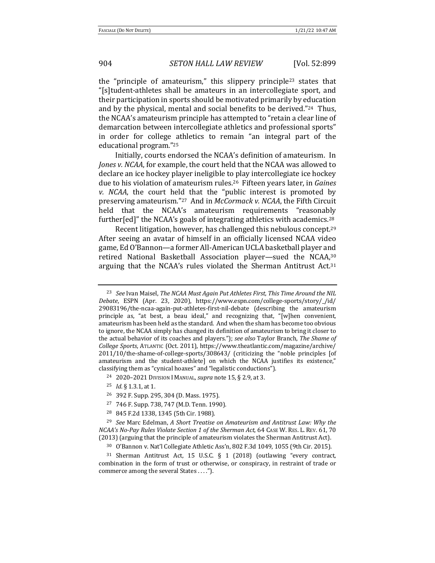the "principle of amateurism," this slippery principle<sup>23</sup> states that "[s]tudent-athletes shall be amateurs in an intercollegiate sport, and their participation in sports should be motivated primarily by education and by the physical, mental and social benefits to be derived."<sup>24</sup> Thus, the NCAA's amateurism principle has attempted to "retain a clear line of demarcation between intercollegiate athletics and professional sports" in order for college athletics to remain "an integral part of the educational program."<sup>25</sup>

Initially, courts endorsed the NCAA's definition of amateurism. In *Jones v. NCAA*, for example, the court held that the NCAA was allowed to declare an ice hockey player ineligible to play intercollegiate ice hockey due to his violation of amateurism rules.<sup>26</sup> Fifteen years later, in *Gaines v. NCAA*, the court held that the "public interest is promoted by preserving amateurism."<sup>27</sup> And in *McCormack v. NCAA*, the Fifth Circuit held that the NCAA's amateurism requirements "reasonably further[ed]" the NCAA's goals of integrating athletics with academics.<sup>28</sup>

Recent litigation, however, has challenged this nebulous concept.<sup>29</sup> After seeing an avatar of himself in an officially licensed NCAA video game, Ed O'Bannon—a former All-American UCLA basketball player and retired National Basketball Association player—sued the NCAA,<sup>30</sup> arguing that the NCAA's rules violated the Sherman Antitrust Act.<sup>31</sup>

- <sup>24</sup> 2020–2021 DIVISION I MANUAL, *supra* note 15, § 2.9, at 3.
- <sup>25</sup> *Id*. § 1.3.1, at 1.
- <sup>26</sup> 392 F. Supp. 295, 304 (D. Mass. 1975).
- 27 746 F. Supp. 738, 747 (M.D. Tenn. 1990).
- <sup>28</sup> 845 F.2d 1338, 1345 (5th Cir. 1988).

<sup>&</sup>lt;sup>23</sup> *See* Ivan Maisel, *The NCAA Must Again Put Athletes First, This Time Around the NIL Debate*, ESPN (Apr. 23, 2020), https://www.espn.com/college-sports/story/\_/id/ 29083196/the-ncaa-again-put-athletes-first-nil-debate (describing the amateurism principle as, "at best, a beau ideal," and recognizing that, "[w]hen convenient, amateurism has been held as the standard. And when the sham has become too obvious to ignore, the NCAA simply has changed its definition of amateurism to bring it closer to the actual behavior of its coaches and players."); see also Taylor Branch, The Shame of *College Sports*, ATLANTIC (Oct. 2011), https://www.theatlantic.com/magazine/archive/ 2011/10/the-shame-of-college-sports/308643/ (criticizing the "noble principles [of amateurism and the student-athlete] on which the NCAA justifies its existence," classifying them as "cynical hoaxes" and "legalistic conductions").

<sup>&</sup>lt;sup>29</sup> *See* Marc Edelman, *A Short Treatise on Amateurism and Antitrust Law: Why the NCAA's No-Pay Rules Violate Section 1 of the Sherman Act,* 64 CASE W. RES. L. REV. 61, 70 (2013) (arguing that the principle of amateurism violates the Sherman Antitrust Act).

<sup>&</sup>lt;sup>30</sup> O'Bannon v. Nat'l Collegiate Athletic Ass'n, 802 F.3d 1049, 1055 (9th Cir. 2015).

<sup>&</sup>lt;sup>31</sup> Sherman Antitrust Act, 15 U.S.C.  $\S$  1 (2018) (outlawing "every contract, combination in the form of trust or otherwise, or conspiracy, in restraint of trade or commerce among the several States . . . .").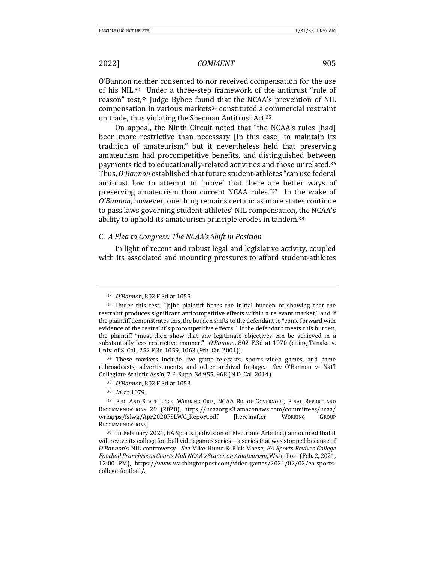O'Bannon neither consented to nor received compensation for the use of his NIL.<sup>32</sup> Under a three-step framework of the antitrust "rule of reason" test,<sup>33</sup> Judge Bybee found that the NCAA's prevention of NIL compensation in various markets<sup>34</sup> constituted a commercial restraint on trade, thus violating the Sherman Antitrust Act.<sup>35</sup>

On appeal, the Ninth Circuit noted that "the NCAA's rules [had] been more restrictive than necessary [in this case] to maintain its tradition of amateurism," but it nevertheless held that preserving amateurism had procompetitive benefits, and distinguished between payments tied to educationally-related activities and those unrelated.<sup>36</sup> Thus, O'Bannon established that future student-athletes "can use federal antitrust law to attempt to 'prove' that there are better ways of preserving amateurism than current NCAA rules." $37$  In the wake of *O'Bannon*, however, one thing remains certain: as more states continue to pass laws governing student-athletes' NIL compensation, the NCAA's ability to uphold its amateurism principle erodes in tandem.<sup>38</sup>

### C. *A Plea to Congress: The NCAA's Shift in Position*

In light of recent and robust legal and legislative activity, coupled with its associated and mounting pressures to afford student-athletes

<sup>34</sup> These markets include live game telecasts, sports video games, and game rebroadcasts, advertisements, and other archival footage. See O'Bannon v. Nat'l Collegiate Athletic Ass'n, 7 F. Supp. 3d 955, 968 (N.D. Cal. 2014).

35 *O'Bannon*, 802 F.3d at 1053.

<sup>32</sup> *O'Bannon*, 802 F.3d at 1055.

<sup>33</sup> Under this test, "[t]he plaintiff bears the initial burden of showing that the restraint produces significant anticompetitive effects within a relevant market," and if the plaintiff demonstrates this, the burden shifts to the defendant to "come forward with evidence of the restraint's procompetitive effects." If the defendant meets this burden, the plaintiff "must then show that any legitimate objectives can be achieved in a substantially less restrictive manner." *O'Bannon*, 802 F.3d at 1070 (citing Tanaka v. Univ. of S. Cal., 252 F.3d 1059, 1063 (9th. Cir. 2001)).

<sup>36</sup> *Id.* at 1079.

<sup>&</sup>lt;sup>37</sup> FED. AND STATE LEGIS. WORKING GRP., NCAA BD. OF GOVERNORS, FINAL REPORT AND RECOMMENDATIONS 29 (2020), https://ncaaorg.s3.amazonaws.com/committees/ncaa/ wrkgrps/fslwg/Apr2020FSLWG\_Report.pdf [hereinafter WORKING GROUP RECOMMENDATIONS].

<sup>&</sup>lt;sup>38</sup> In February 2021, EA Sports (a division of Electronic Arts Inc.) announced that it will revive its college football video games series—a series that was stopped because of *O'Bannon's* NIL controversy. See Mike Hume & Rick Maese, *EA Sports Revives College Football Franchise as Courts Mull NCAA's Stance on Amateurism*, WASH. POST (Feb. 2, 2021, 12:00 PM), https://www.washingtonpost.com/video-games/2021/02/02/ea-sportscollege-football/.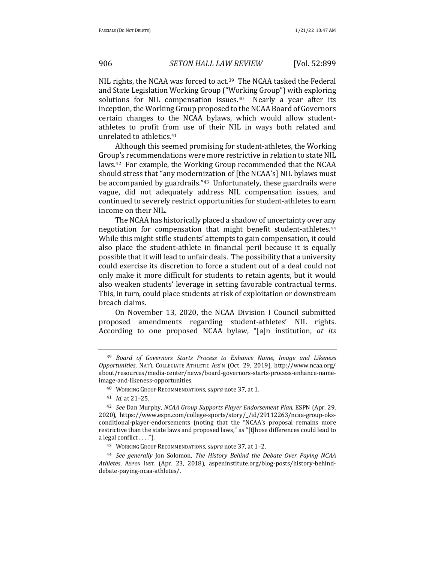NIL rights, the NCAA was forced to act.<sup>39</sup> The NCAA tasked the Federal and State Legislation Working Group ("Working Group") with exploring solutions for NIL compensation issues.<sup>40</sup> Nearly a year after its inception, the Working Group proposed to the NCAA Board of Governors certain changes to the NCAA bylaws, which would allow studentathletes to profit from use of their NIL in ways both related and unrelated to athletics.<sup>41</sup>

Although this seemed promising for student-athletes, the Working Group's recommendations were more restrictive in relation to state NIL laws.<sup>42</sup> For example, the Working Group recommended that the NCAA should stress that "any modernization of [the NCAA's] NIL bylaws must be accompanied by guardrails." $43$  Unfortunately, these guardrails were vague, did not adequately address NIL compensation issues, and continued to severely restrict opportunities for student-athletes to earn income on their NIL.

The NCAA has historically placed a shadow of uncertainty over any negotiation for compensation that might benefit student-athletes.<sup>44</sup> While this might stifle students' attempts to gain compensation, it could also place the student-athlete in financial peril because it is equally possible that it will lead to unfair deals. The possibility that a university could exercise its discretion to force a student out of a deal could not only make it more difficult for students to retain agents, but it would also weaken students' leverage in setting favorable contractual terms. This, in turn, could place students at risk of exploitation or downstream breach claims. 

On November 13, 2020, the NCAA Division I Council submitted proposed amendments regarding student-athletes' NIL rights. According to one proposed NCAA bylaw, "[a]n institution, *at its* 

<sup>&</sup>lt;sup>39</sup> Board of Governors Starts Process to Enhance Name, Image and Likeness *Opportunities*, NAT'L COLLEGIATE ATHLETIC ASS'N (Oct. 29, 2019), http://www.ncaa.org/ about/resources/media-center/news/board-governors-starts-process-enhance-nameimage-and-likeness-opportunities. 

<sup>&</sup>lt;sup>40</sup> WORKING GROUP RECOMMENDATIONS, *supra* note 37, at 1.

<sup>41</sup> *Id.* at 21–25. 

<sup>&</sup>lt;sup>42</sup> *See* Dan Murphy, *NCAA Group Supports Player Endorsement Plan, ESPN (Apr. 29,* 2020), https://www.espn.com/college-sports/story/\_/id/29112263/ncaa-group-oksconditional-player-endorsements (noting that the "NCAA's proposal remains more restrictive than the state laws and proposed laws," as "[t]hose differences could lead to a legal conflict  $\dots$ .").

<sup>43</sup> WORKING GROUP RECOMMENDATIONS, *supra* note 37, at 1-2.

<sup>&</sup>lt;sup>44</sup> See generally Jon Solomon, The History Behind the Debate Over Paying NCAA Athletes, Aspen Inst. (Apr. 23, 2018), aspeninstitute.org/blog-posts/history-behinddebate-paying-ncaa-athletes/.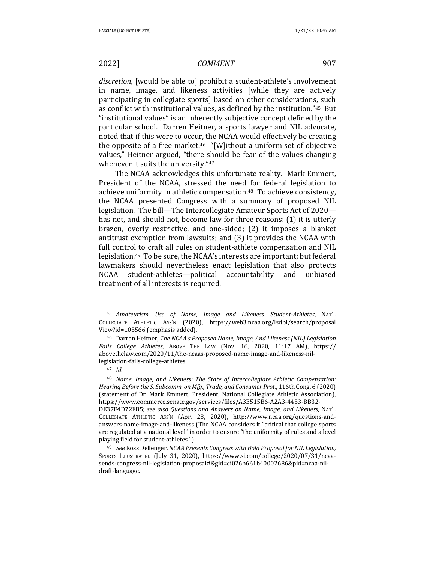discretion, [would be able to] prohibit a student-athlete's involvement in name, image, and likeness activities [while they are actively participating in collegiate sports] based on other considerations, such as conflict with institutional values, as defined by the institution."45 But "institutional values" is an inherently subjective concept defined by the particular school. Darren Heitner, a sports lawyer and NIL advocate, noted that if this were to occur, the NCAA would effectively be creating the opposite of a free market.<sup>46</sup> "[W]ithout a uniform set of objective values," Heitner argued, "there should be fear of the values changing whenever it suits the university."47

The NCAA acknowledges this unfortunate reality. Mark Emmert, President of the NCAA, stressed the need for federal legislation to achieve uniformity in athletic compensation.<sup>48</sup> To achieve consistency, the NCAA presented Congress with a summary of proposed NIL legislation. The bill—The Intercollegiate Amateur Sports Act of 2020 has not, and should not, become law for three reasons: (1) it is utterly brazen, overly restrictive, and one-sided; (2) it imposes a blanket antitrust exemption from lawsuits; and  $(3)$  it provides the NCAA with full control to craft all rules on student-athlete compensation and NIL legislation.<sup>49</sup> To be sure, the NCAA's interests are important; but federal lawmakers should nevertheless enact legislation that also protects NCAA student-athletes—political accountability and unbiased treatment of all interests is required.

<sup>45</sup> *Amateurism—Use of Name, Image and Likeness—Student-Athletes*, NAT'L COLLEGIATE ATHLETIC ASS'N (2020), https://web3.ncaa.org/lsdbi/search/proposal View?id=105566 (emphasis added).

<sup>&</sup>lt;sup>46</sup> Darren Heitner, *The NCAA's Proposed Name, Image, And Likeness (NIL) Legislation Fails College Athletes*, ABOVE THE LAW (Nov. 16, 2020, 11:17 AM), https:// abovethelaw.com/2020/11/the-ncaas-proposed-name-image-and-likeness-nillegislation-fails-college-athletes.

<sup>47</sup> *Id*. 

<sup>&</sup>lt;sup>48</sup> Name, Image, and Likeness: The State of Intercollegiate Athletic Compensation: Hearing Before the S. Subcomm. on Mfg., Trade, and Consumer Prot., 116th Cong. 6 (2020) (statement of Dr. Mark Emmert, President, National Collegiate Athletic Association), https://www.commerce.senate.gov/services/files/A3E515B6-A2A3-4453-BB32- DE37F4D72FB5; see also Questions and Answers on Name, Image, and Likeness, NAT'L COLLEGIATE ATHLETIC ASS'N (Apr. 28, 2020), http://www.ncaa.org/questions-andanswers-name-image-and-likeness (The NCAA considers it "critical that college sports are regulated at a national level" in order to ensure "the uniformity of rules and a level playing field for student-athletes.").

<sup>49</sup> *See* Ross Dellenger, *NCAA Presents Congress with Bold Proposal for NIL Legislation*, SPORTS ILLUSTRATED (July 31, 2020), https://www.si.com/college/2020/07/31/ncaasends-congress-nil-legislation-proposal#&gid=ci026b661b40002686&pid=ncaa-nildraft-language.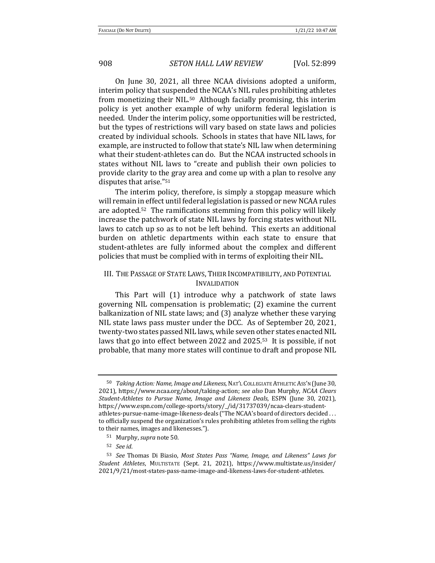On June 30, 2021, all three NCAA divisions adopted a uniform, interim policy that suspended the NCAA's NIL rules prohibiting athletes from monetizing their NIL.<sup>50</sup> Although facially promising, this interim policy is yet another example of why uniform federal legislation is needed. Under the interim policy, some opportunities will be restricted, but the types of restrictions will vary based on state laws and policies created by individual schools. Schools in states that have NIL laws, for example, are instructed to follow that state's NIL law when determining what their student-athletes can do. But the NCAA instructed schools in states without NIL laws to "create and publish their own policies to provide clarity to the gray area and come up with a plan to resolve any disputes that arise."<sup>51</sup>

The interim policy, therefore, is simply a stopgap measure which will remain in effect until federal legislation is passed or new NCAA rules are adopted.<sup>52</sup> The ramifications stemming from this policy will likely increase the patchwork of state NIL laws by forcing states without NIL laws to catch up so as to not be left behind. This exerts an additional burden on athletic departments within each state to ensure that student-athletes are fully informed about the complex and different policies that must be complied with in terms of exploiting their NIL.

# III. THE PASSAGE OF STATE LAWS, THEIR INCOMPATIBILITY, AND POTENTIAL INVALIDATION

This Part will (1) introduce why a patchwork of state laws governing NIL compensation is problematic;  $(2)$  examine the current balkanization of NIL state laws; and (3) analyze whether these varying NIL state laws pass muster under the DCC. As of September 20, 2021, twenty-two states passed NIL laws, while seven other states enacted NIL laws that go into effect between 2022 and  $2025.53$  It is possible, if not probable, that many more states will continue to draft and propose NIL

<sup>&</sup>lt;sup>50</sup> *Taking Action: Name, Image and Likeness, NAT'L COLLEGIATE ATHLETIC ASS'N* (June 30, 2021), https://www.ncaa.org/about/taking-action; see also Dan Murphy, NCAA Clears *Student-Athletes to Pursue Name, Image and Likeness Deals*, ESPN (June 30, 2021), https://www.espn.com/college-sports/story/\_/id/31737039/ncaa-clears-studentathletes-pursue-name-image-likeness-deals ("The NCAA's board of directors decided ... to officially suspend the organization's rules prohibiting athletes from selling the rights to their names, images and likenesses.").

<sup>51</sup> Murphy, *supra* note 50.

<sup>52</sup> *See id*. 

<sup>53</sup> *See* Thomas Di Biasio, Most States Pass "Name, Image, and Likeness" Laws for *Student Athletes*, MULTISTATE (Sept. 21, 2021), https://www.multistate.us/insider/ 2021/9/21/most-states-pass-name-image-and-likeness-laws-for-student-athletes.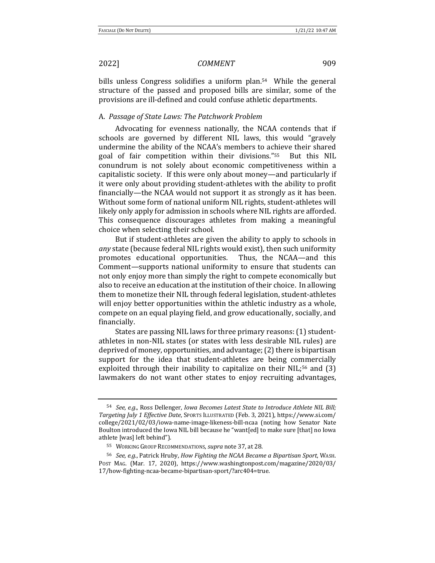bills unless Congress solidifies a uniform plan.<sup>54</sup> While the general structure of the passed and proposed bills are similar, some of the provisions are ill-defined and could confuse athletic departments.

# A. *Passage of State Laws: The Patchwork Problem*

Advocating for evenness nationally, the NCAA contends that if schools are governed by different NIL laws, this would "gravely undermine the ability of the NCAA's members to achieve their shared goal of fair competition within their divisions."<sup>55</sup> But this NIL conundrum is not solely about economic competitiveness within a capitalistic society. If this were only about money—and particularly if it were only about providing student-athletes with the ability to profit financially—the NCAA would not support it as strongly as it has been. Without some form of national uniform NIL rights, student-athletes will likely only apply for admission in schools where NIL rights are afforded. This consequence discourages athletes from making a meaningful choice when selecting their school.

But if student-athletes are given the ability to apply to schools in *any* state (because federal NIL rights would exist), then such uniformity promotes educational opportunities. Thus, the NCAA—and this Comment—supports national uniformity to ensure that students can not only enjoy more than simply the right to compete economically but also to receive an education at the institution of their choice. In allowing them to monetize their NIL through federal legislation, student-athletes will enjoy better opportunities within the athletic industry as a whole, compete on an equal playing field, and grow educationally, socially, and financially. 

States are passing NIL laws for three primary reasons: (1) studentathletes in non-NIL states (or states with less desirable NIL rules) are deprived of money, opportunities, and advantage; (2) there is bipartisan support for the idea that student-athletes are being commercially exploited through their inability to capitalize on their  $NIL;^{56}$  and  $(3)$ lawmakers do not want other states to enjoy recruiting advantages,

<sup>54</sup> *See, e.g.*, Ross Dellenger, *Iowa Becomes Latest State to Introduce Athlete NIL Bill; Targeting July 1 Effective Date*, SPORTS ILLUSTRATED (Feb. 3, 2021), https://www.si.com/ college/2021/02/03/iowa-name-image-likeness-bill-ncaa (noting how Senator Nate Boulton introduced the Iowa NIL bill because he "want[ed] to make sure [that] no Iowa athlete [was] left behind").

<sup>55</sup> WORKING GROUP RECOMMENDATIONS, *supra* note 37, at 28.

<sup>56</sup> *See, e.g.*, Patrick Hruby, *How Fighting the NCAA Became a Bipartisan Sport*, WASH. Post MAG. (Mar. 17, 2020), https://www.washingtonpost.com/magazine/2020/03/ 17/how-fighting-ncaa-became-bipartisan-sport/?arc404=true.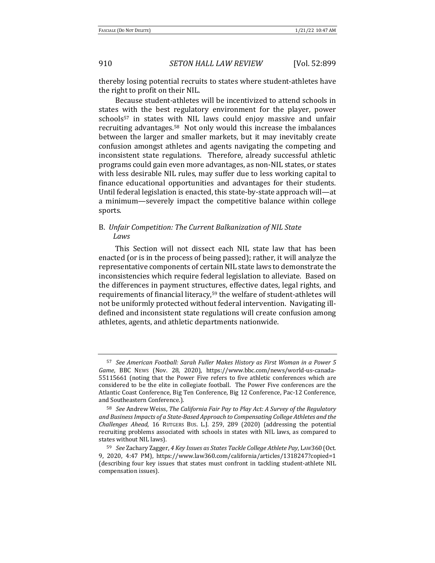thereby losing potential recruits to states where student-athletes have the right to profit on their NIL.

Because student-athletes will be incentivized to attend schools in states with the best regulatory environment for the player, power schools<sup>57</sup> in states with NIL laws could enjoy massive and unfair recruiting advantages.<sup>58</sup> Not only would this increase the imbalances between the larger and smaller markets, but it may inevitably create confusion amongst athletes and agents navigating the competing and inconsistent state regulations. Therefore, already successful athletic programs could gain even more advantages, as non-NIL states, or states with less desirable NIL rules, may suffer due to less working capital to finance educational opportunities and advantages for their students. Until federal legislation is enacted, this state-by-state approach will—at a minimum—severely impact the competitive balance within college sports.

# B. Unfair Competition: The Current Balkanization of NIL State *Laws*

This Section will not dissect each NIL state law that has been enacted (or is in the process of being passed); rather, it will analyze the representative components of certain NIL state laws to demonstrate the inconsistencies which require federal legislation to alleviate. Based on the differences in payment structures, effective dates, legal rights, and requirements of financial literacy,<sup>59</sup> the welfare of student-athletes will not be uniformly protected without federal intervention. Navigating illdefined and inconsistent state regulations will create confusion among athletes, agents, and athletic departments nationwide.

<sup>57</sup> See American Football: Sarah Fuller Makes History as First Woman in a Power 5 Game, BBC News (Nov. 28, 2020), https://www.bbc.com/news/world-us-canada-55115661 (noting that the Power Five refers to five athletic conferences which are considered to be the elite in collegiate football. The Power Five conferences are the Atlantic Coast Conference, Big Ten Conference, Big 12 Conference, Pac-12 Conference, and Southeastern Conference.).

<sup>&</sup>lt;sup>58</sup> See Andrew Weiss, The California Fair Pay to Play Act: A Survey of the Regulatory and Business Impacts of a State-Based Approach to Compensating College Athletes and the *Challenges Ahead*, 16 RUTGERS BUS. L.J. 259, 289 (2020) (addressing the potential recruiting problems associated with schools in states with NIL laws, as compared to states without NIL laws).

<sup>59</sup> *See* Zachary Zagger, 4 Key Issues as States Tackle College Athlete Pay, LAW360 (Oct. 9, 2020, 4:47 PM), https://www.law360.com/california/articles/1318247?copied=1 (describing four key issues that states must confront in tackling student-athlete NIL compensation issues).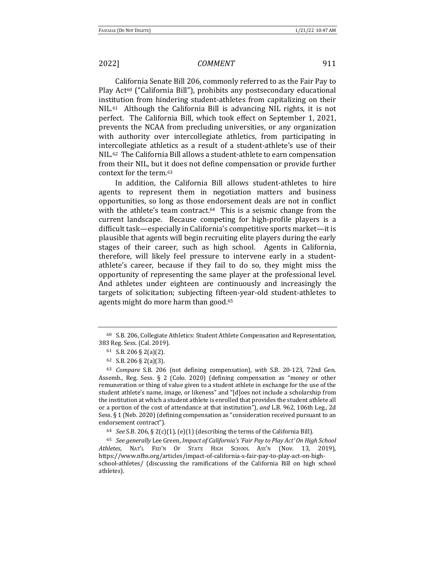California Senate Bill 206, commonly referred to as the Fair Pay to Play Act<sup>60</sup> ("California Bill"), prohibits any postsecondary educational institution from hindering student-athletes from capitalizing on their  $NIL.61$  Although the California Bill is advancing NIL rights, it is not perfect. The California Bill, which took effect on September 1, 2021, prevents the NCAA from precluding universities, or any organization with authority over intercollegiate athletics, from participating in intercollegiate athletics as a result of a student-athlete's use of their NIL.<sup>62</sup> The California Bill allows a student-athlete to earn compensation from their NIL, but it does not define compensation or provide further context for the term.<sup>63</sup>

In addition, the California Bill allows student-athletes to hire agents to represent them in negotiation matters and business opportunities, so long as those endorsement deals are not in conflict with the athlete's team contract. $64$  This is a seismic change from the current landscape. Because competing for high-profile players is a difficult task—especially in California's competitive sports market—it is plausible that agents will begin recruiting elite players during the early stages of their career, such as high school. Agents in California, therefore, will likely feel pressure to intervene early in a studentathlete's career, because if they fail to do so, they might miss the opportunity of representing the same player at the professional level. And athletes under eighteen are continuously and increasingly the targets of solicitation; subjecting fifteen-year-old student-athletes to agents might do more harm than good.<sup>65</sup>

<sup>64</sup> *See* S.B. 206, § 2(c)(1), (e)(1) (describing the terms of the California Bill).

<sup>65</sup> See generally Lee Green, Impact of California's 'Fair Pay to Play Act' On High School Athletes, NAT'L FED'N OF STATE HIGH SCHOOL Ass'N (Nov. 13, 2019), https://www.nfhs.org/articles/impact-of-california-s-fair-pay-to-play-act-on-highschool-athletes/ (discussing the ramifications of the California Bill on high school athletes).

 $60$  S.B. 206, Collegiate Athletics: Student Athlete Compensation and Representation, 383 Reg. Sess. (Cal. 2019).

<sup>61</sup> S.B. 206 § 2(a)(2).

 $62$  S.B. 206 § 2(a)(3).

<sup>&</sup>lt;sup>63</sup> *Compare* S.B. 206 (not defining compensation), with S.B. 20-123, 72nd Gen. Assemb., Reg. Sess.  $\S$  2 (Colo. 2020) (defining compensation as "money or other remuneration or thing of value given to a student athlete in exchange for the use of the student athlete's name, image, or likeness" and "[d]oes not include a scholarship from the institution at which a student athlete is enrolled that provides the student athlete all or a portion of the cost of attendance at that institution"), and L.B. 962, 106th Leg., 2d Sess. § 1 (Neb. 2020) (defining compensation as "consideration received pursuant to an endorsement contract").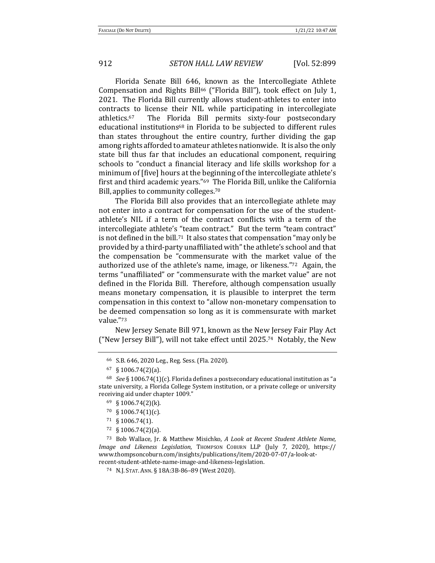Florida Senate Bill 646, known as the Intercollegiate Athlete Compensation and Rights Bill<sup>66</sup> ("Florida Bill"), took effect on July 1, 2021. The Florida Bill currently allows student-athletes to enter into contracts to license their NIL while participating in intercollegiate athletics.<sup>67</sup> The Florida Bill permits sixty-four postsecondary educational institutions<sup>68</sup> in Florida to be subjected to different rules than states throughout the entire country, further dividing the gap among rights afforded to amateur athletes nationwide. It is also the only state bill thus far that includes an educational component, requiring schools to "conduct a financial literacy and life skills workshop for a minimum of [five] hours at the beginning of the intercollegiate athlete's first and third academic years."<sup>69</sup> The Florida Bill, unlike the California Bill, applies to community colleges.<sup>70</sup>

The Florida Bill also provides that an intercollegiate athlete may not enter into a contract for compensation for the use of the studentathlete's NIL if a term of the contract conflicts with a term of the intercollegiate athlete's "team contract." But the term "team contract" is not defined in the bill.<sup>71</sup> It also states that compensation "may only be provided by a third-party unaffiliated with" the athlete's school and that the compensation be "commensurate with the market value of the authorized use of the athlete's name, image, or likeness." $72$  Again, the terms "unaffiliated" or "commensurate with the market value" are not defined in the Florida Bill. Therefore, although compensation usually means monetary compensation, it is plausible to interpret the term compensation in this context to "allow non-monetary compensation to be deemed compensation so long as it is commensurate with market value."73

New Jersey Senate Bill 971, known as the New Jersey Fair Play Act ("New Jersey Bill"), will not take effect until  $2025$ .<sup>74</sup> Notably, the New

<sup>66</sup> S.B. 646, 2020 Leg., Reg. Sess. (Fla. 2020).

 $67 \S 1006.74(2)(a)$ .

 $68$  *See* § 1006.74(1)(c). Florida defines a postsecondary educational institution as "a state university, a Florida College System institution, or a private college or university receiving aid under chapter 1009."

 $69 \text{ } \text{ } \text{ } \text{ } 91006.74(2)$ (k).

 $70\quad$ § 1006.74(1)(c).

<sup>71</sup> § 1006.74(1).

<sup>72</sup> § 1006.74(2)(a).

<sup>73</sup> Bob Wallace, Ir. & Matthew Misichko, *A Look at Recent Student Athlete Name*, *Image and Likeness Legislation*, Thompson Coburn LLP (July 7, 2020), https:// www.thompsoncoburn.com/insights/publications/item/2020-07-07/a-look-atrecent-student-athlete-name-image-and-likeness-legislation.

<sup>74</sup> N.J. STAT. ANN. § 18A:3B-86–89 (West 2020).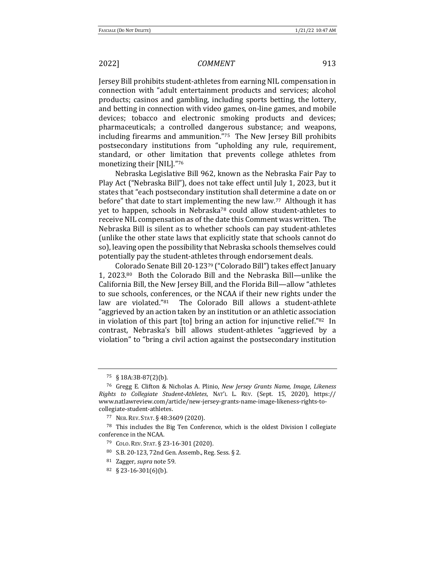Jersey Bill prohibits student-athletes from earning NIL compensation in connection with "adult entertainment products and services; alcohol products; casinos and gambling, including sports betting, the lottery, and betting in connection with video games, on-line games, and mobile devices; tobacco and electronic smoking products and devices; pharmaceuticals; a controlled dangerous substance; and weapons, including firearms and ammunition." $75$  The New Jersey Bill prohibits postsecondary institutions from "upholding any rule, requirement, standard, or other limitation that prevents college athletes from monetizing their [NIL]."76

Nebraska Legislative Bill 962, known as the Nebraska Fair Pay to Play Act ("Nebraska Bill"), does not take effect until July 1, 2023, but it states that "each postsecondary institution shall determine a date on or before" that date to start implementing the new law.<sup>77</sup> Although it has yet to happen, schools in Nebraska<sup>78</sup> could allow student-athletes to receive NIL compensation as of the date this Comment was written. The Nebraska Bill is silent as to whether schools can pay student-athletes (unlike the other state laws that explicitly state that schools cannot do so), leaving open the possibility that Nebraska schools themselves could potentially pay the student-athletes through endorsement deals.

Colorado Senate Bill 20-12379 ("Colorado Bill") takes effect January 1,  $2023.80$  Both the Colorado Bill and the Nebraska Bill—unlike the California Bill, the New Jersey Bill, and the Florida Bill—allow "athletes to sue schools, conferences, or the NCAA if their new rights under the law are violated."<sup>81</sup> The Colorado Bill allows a student-athlete "aggrieved by an action taken by an institution or an athletic association in violation of this part  $[t_0]$  bring an action for injunctive relief."<sup>82</sup> In contrast, Nebraska's bill allows student-athletes "aggrieved by a violation" to "bring a civil action against the postsecondary institution

 $75 \& 18A:3B-87(2)(b)$ .

<sup>&</sup>lt;sup>76</sup> Gregg E. Clifton & Nicholas A. Plinio, *New Jersey Grants Name, Image, Likeness Rights to Collegiate Student-Athletes*, NAT'L L. REV. (Sept. 15, 2020), https:// www.natlawreview.com/article/new-jersey-grants-name-image-likeness-rights-tocollegiate-student-athletes.

<sup>77</sup> NEB. REV. STAT. § 48:3609 (2020).

 $78$  This includes the Big Ten Conference, which is the oldest Division I collegiate conference in the NCAA.

<sup>79</sup> COLO. REV. STAT. § 23-16-301 (2020). 

<sup>80</sup> S.B. 20-123, 72nd Gen. Assemb., Reg. Sess. § 2.

<sup>81</sup> Zagger, *supra* note 59.

 $82 \quad \frac{23-16-301}{6}$ (b).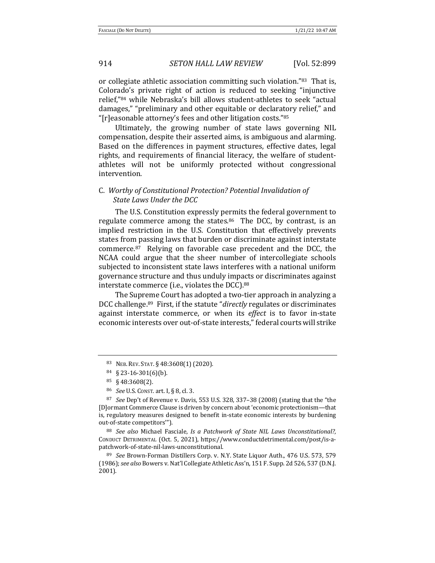or collegiate athletic association committing such violation."83 That is, Colorado's private right of action is reduced to seeking "injunctive relief,"<sup>84</sup> while Nebraska's bill allows student-athletes to seek "actual damages," "preliminary and other equitable or declaratory relief," and "[r]easonable attorney's fees and other litigation costs." $85$ 

Ultimately, the growing number of state laws governing NIL compensation, despite their asserted aims, is ambiguous and alarming. Based on the differences in payment structures, effective dates, legal rights, and requirements of financial literacy, the welfare of studentathletes will not be uniformly protected without congressional intervention. 

# C. *Worthy of Constitutional Protection? Potential Invalidation of*  **State Laws Under the DCC**

The U.S. Constitution expressly permits the federal government to regulate commerce among the states.<sup>86</sup> The DCC, by contrast, is an implied restriction in the U.S. Constitution that effectively prevents states from passing laws that burden or discriminate against interstate commerce.<sup>87</sup> Relying on favorable case precedent and the DCC, the NCAA could argue that the sheer number of intercollegiate schools subjected to inconsistent state laws interferes with a national uniform governance structure and thus unduly impacts or discriminates against interstate commerce (i.e., violates the DCC). $88$ 

The Supreme Court has adopted a two-tier approach in analyzing a DCC challenge.<sup>89</sup> First, if the statute "*directly* regulates or discriminates against interstate commerce, or when its *effect* is to favor in-state economic interests over out-of-state interests," federal courts will strike

88 *See also* Michael Fasciale, *Is a Patchwork of State NIL Laws Unconstitutional?*, CONDUCT DETRIMENTAL (Oct. 5, 2021), https://www.conductdetrimental.com/post/is-apatchwork-of-state-nil-laws-unconstitutional.

89 *See* Brown-Forman Distillers Corp. v. N.Y. State Liquor Auth., 476 U.S. 573, 579 (1986); *see also* Bowers v. Nat'l Collegiate Athletic Ass'n, 151 F. Supp. 2d 526, 537 (D.N.J.) 2001). 

<sup>83</sup> NEB. REV. STAT. § 48:3608(1) (2020).

 $84 \quad \frac{23-16-301}{6}$ (b).

 $85 \quad \text{\$} 48:3608(2)$ .

<sup>&</sup>lt;sup>86</sup> *See* U.S. CONST. art. I, § 8, cl. 3.

 $87$  *See* Dep't of Revenue v. Davis, 553 U.S. 328, 337–38 (2008) (stating that the "the [D]ormant Commerce Clause is driven by concern about 'economic protectionism—that is, regulatory measures designed to benefit in-state economic interests by burdening out-of-state competitors"').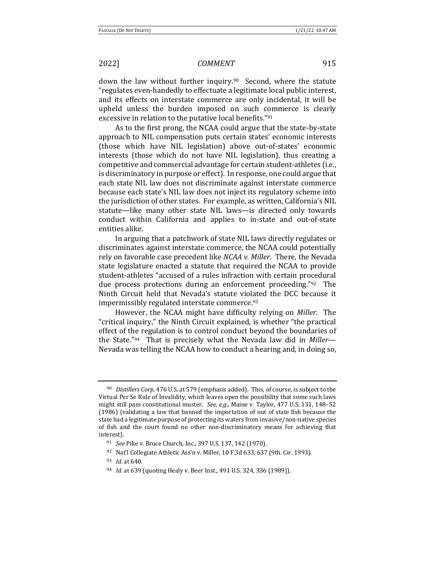down the law without further inquiry.<sup>90</sup> Second, where the statute "regulates even-handedly to effectuate a legitimate local public interest, and its effects on interstate commerce are only incidental, it will be upheld unless the burden imposed on such commerce is clearly excessive in relation to the putative local benefits."91

As to the first prong, the NCAA could argue that the state-by-state approach to NIL compensation puts certain states' economic interests (those which have NIL legislation) above out-of-states' economic interests (those which do not have NIL legislation), thus creating a competitive and commercial advantage for certain student-athletes (i.e., is discriminatory in purpose or effect). In response, one could argue that each state NIL law does not discriminate against interstate commerce because each state's NIL law does not inject its regulatory scheme into the jurisdiction of other states. For example, as written, California's NIL statute—like many other state NIL laws—is directed only towards conduct within California and applies to in-state and out-of-state entities alike.

In arguing that a patchwork of state NIL laws directly regulates or discriminates against interstate commerce, the NCAA could potentially rely on favorable case precedent like *NCAA v. Miller*. There, the Nevada state legislature enacted a statute that required the NCAA to provide student-athletes "accused of a rules infraction with certain procedural due process protections during an enforcement proceeding." $92$  The Ninth Circuit held that Nevada's statute violated the DCC because it impermissibly regulated interstate commerce.<sup>93</sup>

However, the NCAA might have difficulty relying on *Miller*. The "critical inquiry," the Ninth Circuit explained, is whether "the practical effect of the regulation is to control conduct beyond the boundaries of the State."<sup>94</sup> That is precisely what the Nevada law did in *Miller*— Nevada was telling the NCAA how to conduct a hearing and, in doing so,

<sup>&</sup>lt;sup>90</sup> Distillers Corp, 476 U.S. at 579 (emphasis added). This, of course, is subject to the Virtual Per Se Rule of Invalidity, which leaves open the possibility that some such laws might still pass constitutional muster. See, e.g., Maine v. Taylor, 477 U.S. 131, 148-52 (1986) (validating a law that banned the importation of out of state fish because the state had a legitimate purpose of protecting its waters from invasive/non-native species of fish and the court found no other non-discriminatory means for achieving that interest).

<sup>&</sup>lt;sup>91</sup> *See* Pike v. Bruce Church, Inc., 397 U.S. 137, 142 (1970).

 $92$  Nat'l Collegiate Athletic Ass'n v. Miller, 10 F.3d 633, 637 (9th. Cir. 1993).

<sup>93</sup> *Id.* at 640.

<sup>&</sup>lt;sup>94</sup> *Id.* at 639 (quoting Healy v. Beer Inst., 491 U.S. 324, 336 (1989)).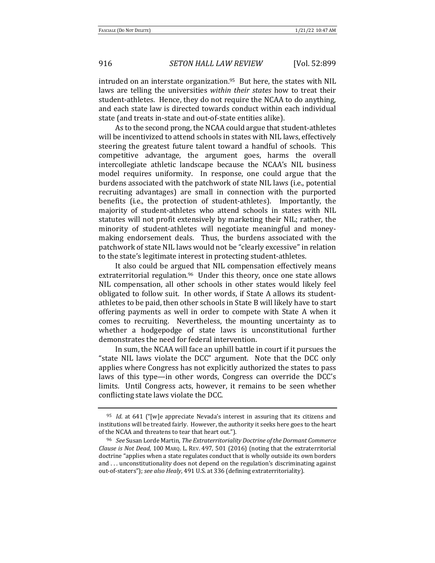intruded on an interstate organization. $95$  But here, the states with NIL laws are telling the universities *within their states* how to treat their student-athletes. Hence, they do not require the NCAA to do anything, and each state law is directed towards conduct within each individual state (and treats in-state and out-of-state entities alike).

As to the second prong, the NCAA could argue that student-athletes will be incentivized to attend schools in states with NIL laws, effectively steering the greatest future talent toward a handful of schools. This competitive advantage, the argument goes, harms the overall intercollegiate athletic landscape because the NCAA's NIL business model requires uniformity. In response, one could argue that the burdens associated with the patchwork of state NIL laws (i.e., potential recruiting advantages) are small in connection with the purported benefits (i.e., the protection of student-athletes). Importantly, the majority of student-athletes who attend schools in states with NIL statutes will not profit extensively by marketing their NIL; rather, the minority of student-athletes will negotiate meaningful and moneymaking endorsement deals. Thus, the burdens associated with the patchwork of state NIL laws would not be "clearly excessive" in relation to the state's legitimate interest in protecting student-athletes.

It also could be argued that NIL compensation effectively means extraterritorial regulation.<sup>96</sup> Under this theory, once one state allows NIL compensation, all other schools in other states would likely feel obligated to follow suit. In other words, if State A allows its studentathletes to be paid, then other schools in State B will likely have to start offering payments as well in order to compete with State A when it comes to recruiting. Nevertheless, the mounting uncertainty as to whether a hodgepodge of state laws is unconstitutional further demonstrates the need for federal intervention.

In sum, the NCAA will face an uphill battle in court if it pursues the "state NIL laws violate the DCC" argument. Note that the DCC only applies where Congress has not explicitly authorized the states to pass laws of this type—in other words, Congress can override the DCC's limits. Until Congress acts, however, it remains to be seen whether conflicting state laws violate the DCC.

<sup>&</sup>lt;sup>95</sup> *Id.* at 641 ("[w]e appreciate Nevada's interest in assuring that its citizens and institutions will be treated fairly. However, the authority it seeks here goes to the heart of the NCAA and threatens to tear that heart out."). 

<sup>&</sup>lt;sup>96</sup> See Susan Lorde Martin, *The Extraterritoriality Doctrine of the Dormant Commerce Clause is Not Dead*, 100 MARQ. L. REV. 497, 501 (2016) (noting that the extraterritorial doctrine "applies when a state regulates conduct that is wholly outside its own borders and ... unconstitutionality does not depend on the regulation's discriminating against out-of-staters"); *see also Healy*, 491 U.S. at 336 (defining extraterritoriality).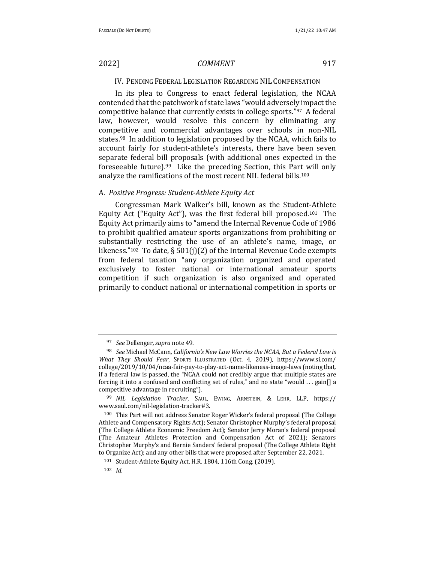IV. PENDING FEDERAL LEGISLATION REGARDING NIL COMPENSATION

In its plea to Congress to enact federal legislation, the NCAA contended that the patchwork of state laws "would adversely impact the competitive balance that currently exists in college sports." $97$  A federal law, however, would resolve this concern by eliminating any competitive and commercial advantages over schools in non-NIL states.<sup>98</sup> In addition to legislation proposed by the NCAA, which fails to account fairly for student-athlete's interests, there have been seven separate federal bill proposals (with additional ones expected in the foreseeable future). $99$  Like the preceding Section, this Part will only analyze the ramifications of the most recent NIL federal bills.<sup>100</sup>

#### A. *Positive Progress: Student-Athlete Equity Act*

Congressman Mark Walker's bill, known as the Student-Athlete Equity Act ("Equity Act"), was the first federal bill proposed.<sup>101</sup> The Equity Act primarily aims to "amend the Internal Revenue Code of 1986 to prohibit qualified amateur sports organizations from prohibiting or substantially restricting the use of an athlete's name, image, or likeness."<sup>102</sup> To date, § 501(j)(2) of the Internal Revenue Code exempts from federal taxation "any organization organized and operated exclusively to foster national or international amateur sports competition if such organization is also organized and operated primarily to conduct national or international competition in sports or

<sup>97</sup> *See* Dellenger, *supra* note 49.

<sup>98</sup> *See* Michael McCann, *California's New Law Worries the NCAA, But a Federal Law is What They Should Fear*, SPORTS ILLUSTRATED (Oct. 4, 2019), https://www.si.com/ college/2019/10/04/ncaa-fair-pay-to-play-act-name-likeness-image-laws (noting that, if a federal law is passed, the "NCAA could not credibly argue that multiple states are forcing it into a confused and conflicting set of rules," and no state "would ... gain[] a competitive advantage in recruiting").

<sup>99</sup> *NIL Legislation Tracker*, SAUL, EWING, ARNSTEIN, & LEHR, LLP, https:// www.saul.com/nil-legislation-tracker#3.

 $100$  This Part will not address Senator Roger Wicker's federal proposal (The College Athlete and Compensatory Rights Act); Senator Christopher Murphy's federal proposal (The College Athlete Economic Freedom Act); Senator Jerry Moran's federal proposal (The Amateur Athletes Protection and Compensation Act of 2021); Senators Christopher Murphy's and Bernie Sanders' federal proposal (The College Athlete Right to Organize Act); and any other bills that were proposed after September 22, 2021.

<sup>101</sup> Student-Athlete Equity Act, H.R. 1804, 116th Cong. (2019).

<sup>102</sup> *Id*.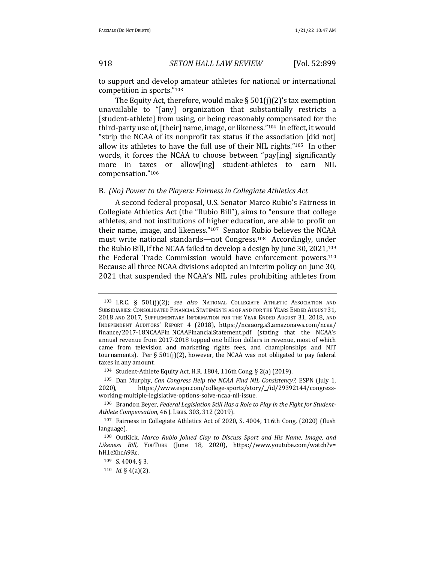to support and develop amateur athletes for national or international competition in sports."103

The Equity Act, therefore, would make  $\S 501(i)(2)'$  tax exemption unavailable to "[any] organization that substantially restricts a [student-athlete] from using, or being reasonably compensated for the third-party use of, [their] name, image, or likeness."<sup>104</sup> In effect, it would "strip the NCAA of its nonprofit tax status if the association  $\lceil$  did not $\rceil$ allow its athletes to have the full use of their NIL rights."<sup>105</sup> In other words, it forces the NCAA to choose between "pay[ing] significantly more in taxes or allow[ing] student-athletes to earn NIL compensation."106 

#### B. (No) Power to the Players: Fairness in Collegiate Athletics Act

A second federal proposal, U.S. Senator Marco Rubio's Fairness in Collegiate Athletics Act (the "Rubio Bill"), aims to "ensure that college athletes, and not institutions of higher education, are able to profit on their name, image, and likeness."<sup>107</sup> Senator Rubio believes the NCAA must write national standards—not Congress.<sup>108</sup> Accordingly, under the Rubio Bill, if the NCAA failed to develop a design by June 30, 2021,<sup>109</sup> the Federal Trade Commission would have enforcement powers.<sup>110</sup> Because all three NCAA divisions adopted an interim policy on June 30, 2021 that suspended the NCAA's NIL rules prohibiting athletes from

<sup>103</sup> I.R.C. § 501(j)(2); *see also* NATIONAL COLLEGIATE ATHLETIC ASSOCIATION AND SUBSIDIARIES: CONSOLIDATED FINANCIAL STATEMENTS AS OF AND FOR THE YEARS ENDED AUGUST 31, 2018 AND 2017, SUPPLEMENTARY INFORMATION FOR THE YEAR ENDED AUGUST 31, 2018, AND INDEPENDENT AUDITORS' REPORT 4 (2018), https://ncaaorg.s3.amazonaws.com/ncaa/ finance/2017-18NCAAFin\_NCAAFinancialStatement.pdf (stating that the NCAA's annual revenue from 2017-2018 topped one billion dollars in revenue, most of which came from television and marketing rights fees, and championships and NIT tournaments). Per § 501(j)(2), however, the NCAA was not obligated to pay federal taxes in any amount.

<sup>104</sup> Student-Athlete Equity Act, H.R. 1804, 116th Cong. § 2(a) (2019).

<sup>&</sup>lt;sup>105</sup> Dan Murphy, *Can Congress Help the NCAA Find NIL Consistency?*, ESPN (July 1, 2020), https://www.espn.com/college-sports/story/\_/id/29392144/congressworking-multiple-legislative-options-solve-ncaa-nil-issue. 

<sup>&</sup>lt;sup>106</sup> Brandon Beyer, *Federal Legislation Still Has a Role to Play in the Fight for Student-Athlete Compensation*, 46 J. LEGIS. 303, 312 (2019). 

<sup>&</sup>lt;sup>107</sup> Fairness in Collegiate Athletics Act of 2020, S. 4004, 116th Cong. (2020) (flush language).

<sup>&</sup>lt;sup>108</sup> OutKick, Marco Rubio Joined Clay to Discuss Sport and His Name, Image, and Likeness Bill, YouTube (June 18, 2020), https://www.youtube.com/watch?v= hH1eXhcA9Rc.

 $109$  S. 4004, § 3.

 $110$  *Id.* § 4(a)(2).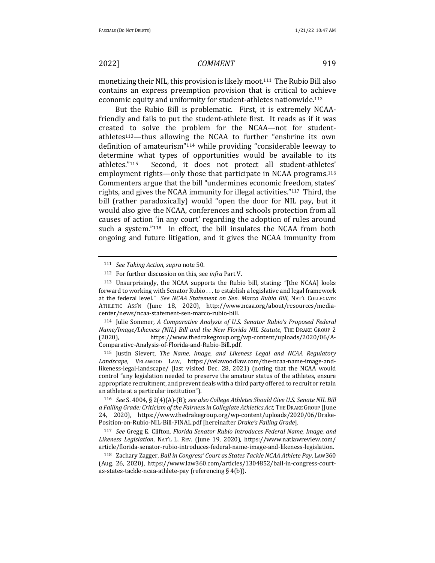monetizing their NIL, this provision is likely moot.<sup>111</sup> The Rubio Bill also contains an express preemption provision that is critical to achieve economic equity and uniformity for student-athletes nationwide.<sup>112</sup>

But the Rubio Bill is problematic. First, it is extremely NCAAfriendly and fails to put the student-athlete first. It reads as if it was created to solve the problem for the NCAA—not for studentathletes<sup>113</sup>—thus allowing the NCAA to further "enshrine its own definition of amateurism" $114$  while providing "considerable leeway to determine what types of opportunities would be available to its athletes."<sup>115</sup> Second, it does not protect all student-athletes' employment rights—only those that participate in NCAA programs. $116$ Commenters argue that the bill "undermines economic freedom, states' rights, and gives the NCAA immunity for illegal activities."<sup>117</sup> Third, the bill (rather paradoxically) would "open the door for NIL pay, but it would also give the NCAA, conferences and schools protection from all causes of action 'in any court' regarding the adoption of rules around such a system." $118$  In effect, the bill insulates the NCAA from both ongoing and future litigation, and it gives the NCAA immunity from

114 Julie Sommer, *A Comparative Analysis of U.S. Senator Rubio's Proposed Federal Name/Image/Likeness (NIL) Bill and the New Florida NIL Statute*, THE DRAKE GROUP 2 (2020), https://www.thedrakegroup.org/wp-content/uploads/2020/06/A-Comparative-Analysis-of-Florida-and-Rubio-Bill.pdf.

<sup>115</sup> Justin Sievert, *The Name, Image, and Likeness Legal and NCAA Regulatory* Landscape, VELAWOOD LAW, https://velawoodlaw.com/the-ncaa-name-image-andlikeness-legal-landscape/ (last visited Dec. 28, 2021) (noting that the NCAA would control "any legislation needed to preserve the amateur status of the athletes, ensure appropriate recruitment, and prevent deals with a third party offered to recruit or retain an athlete at a particular institution").

116 *See* S. 4004, § 2(4)(A)-(B); see also College Athletes Should Give U.S. Senate NIL Bill a Failing Grade: Criticism of the Fairness in Collegiate Athletics Act, THE DRAKE GROUP (June 24, 2020), https://www.thedrakegroup.org/wp-content/uploads/2020/06/Drake-Position-on-Rubio-NIL-Bill-FINAL.pdf [hereinafter *Drake's Failing Grade*].

117 *See* Gregg E. Clifton, *Florida Senator Rubio Introduces Federal Name, Image, and* Likeness Legislation, NAT'L L. REV. (June 19, 2020), https://www.natlawreview.com/ article/florida-senator-rubio-introduces-federal-name-image-and-likeness-legislation.

118 Zachary Zagger, *Ball in Congress' Court as States Tackle NCAA Athlete Pay*, LAW360 (Aug. 26, 2020), https://www.law360.com/articles/1304852/ball-in-congress-courtas-states-tackle-ncaa-athlete-pay (referencing  $\S$  4(b)).

<sup>111</sup> *See Taking Action, supra note* 50.

<sup>&</sup>lt;sup>112</sup> For further discussion on this, see *infra* Part V.

 $113$  Unsurprisingly, the NCAA supports the Rubio bill, stating: "[the NCAA] looks forward to working with Senator Rubio . . . to establish a legislative and legal framework at the federal level." See NCAA Statement on Sen. Marco Rubio Bill, NAT'L COLLEGIATE ATHLETIC ASS'N (June 18, 2020), http://www.ncaa.org/about/resources/mediacenter/news/ncaa-statement-sen-marco-rubio-bill.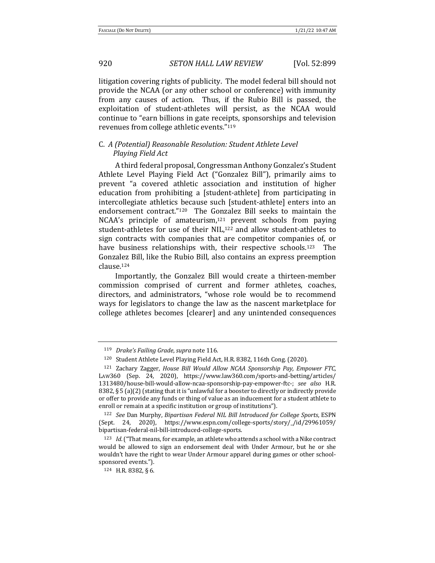litigation covering rights of publicity. The model federal bill should not provide the NCAA (or any other school or conference) with immunity from any causes of action. Thus, if the Rubio Bill is passed, the exploitation of student-athletes will persist, as the NCAA would continue to "earn billions in gate receipts, sponsorships and television revenues from college athletic events."<sup>119</sup>

# C. A (Potential) Reasonable Resolution: Student Athlete Level *Playing Field Act*

A third federal proposal, Congressman Anthony Gonzalez's Student Athlete Level Playing Field Act ("Gonzalez Bill"), primarily aims to prevent "a covered athletic association and institution of higher education from prohibiting a [student-athlete] from participating in intercollegiate athletics because such [student-athlete] enters into an endorsement contract."<sup>120</sup> The Gonzalez Bill seeks to maintain the NCAA's principle of amateurism, $121$  prevent schools from paying student-athletes for use of their NIL,<sup>122</sup> and allow student-athletes to sign contracts with companies that are competitor companies of, or have business relationships with, their respective schools.<sup>123</sup> The Gonzalez Bill, like the Rubio Bill, also contains an express preemption clause.124

Importantly, the Gonzalez Bill would create a thirteen-member commission comprised of current and former athletes, coaches, directors, and administrators, "whose role would be to recommend ways for legislators to change the law as the nascent marketplace for college athletes becomes [clearer] and any unintended consequences

<sup>119</sup> *Drake's Failing Grade, supra* note 116.

<sup>120</sup> Student Athlete Level Playing Field Act, H.R. 8382, 116th Cong. (2020).

<sup>&</sup>lt;sup>121</sup> Zachary Zagger, *House Bill Would Allow NCAA Sponsorship Pay, Empower FTC,* LAW360 (Sep. 24, 2020), https://www.law360.com/sports-and-betting/articles/ 1313480/house-bill-would-allow-ncaa-sponsorship-pay-empower-ftc-; *see also*  H.R. 8382, § 5 (a)(2) (stating that it is "unlawful for a booster to directly or indirectly provide or offer to provide any funds or thing of value as an inducement for a student athlete to enroll or remain at a specific institution or group of institutions").

<sup>&</sup>lt;sup>122</sup> *See* Dan Murphy, *Bipartisan Federal NIL Bill Introduced for College Sports*, ESPN (Sept. 24, 2020), https://www.espn.com/college-sports/story/\_/id/29961059/ bipartisan-federal-nil-bill-introduced-college-sports.

<sup>&</sup>lt;sup>123</sup> *Id.* ("That means, for example, an athlete who attends a school with a Nike contract would be allowed to sign an endorsement deal with Under Armour, but he or she wouldn't have the right to wear Under Armour apparel during games or other schoolsponsored events.").

 $124$  H.R. 8382, § 6.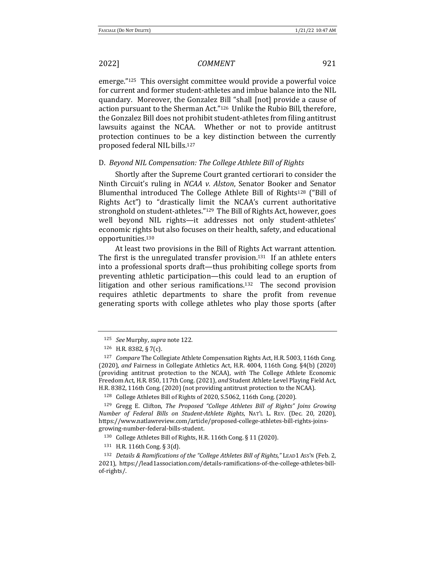emerge."<sup>125</sup> This oversight committee would provide a powerful voice for current and former student-athletes and imbue balance into the NIL quandary. Moreover, the Gonzalez Bill "shall [not] provide a cause of action pursuant to the Sherman Act."<sup>126</sup> Unlike the Rubio Bill, therefore, the Gonzalez Bill does not prohibit student-athletes from filing antitrust lawsuits against the NCAA. Whether or not to provide antitrust protection continues to be a key distinction between the currently proposed federal NIL bills.<sup>127</sup>

### D. *Beyond NIL Compensation: The College Athlete Bill of Rights*

Shortly after the Supreme Court granted certiorari to consider the Ninth Circuit's ruling in *NCAA v. Alston*, Senator Booker and Senator Blumenthal introduced The College Athlete Bill of Rights<sup>128</sup> ("Bill of Rights Act") to "drastically limit the NCAA's current authoritative stronghold on student-athletes."<sup>129</sup> The Bill of Rights Act, however, goes well beyond NIL rights—it addresses not only student-athletes' economic rights but also focuses on their health, safety, and educational opportunities.130 

At least two provisions in the Bill of Rights Act warrant attention. The first is the unregulated transfer provision.<sup>131</sup> If an athlete enters into a professional sports draft—thus prohibiting college sports from preventing athletic participation—this could lead to an eruption of litigation and other serious ramifications.<sup>132</sup> The second provision requires athletic departments to share the profit from revenue generating sports with college athletes who play those sports (after

<sup>125</sup> *See* Murphy, *supra* note 122.

 $126$  H.R. 8382, § 7(c).

<sup>&</sup>lt;sup>127</sup> *Compare* The Collegiate Athlete Compensation Rights Act, H.R. 5003, 116th Cong. (2020), *and* Fairness in Collegiate Athletics Act, H.R. 4004, 116th Cong. §4(b) (2020) (providing antitrust protection to the NCAA), *with* The College Athlete Economic Freedom Act, H.R. 850, 117th Cong. (2021), and Student Athlete Level Playing Field Act, H.R. 8382, 116th Cong. (2020) (not providing antitrust protection to the NCAA).

<sup>&</sup>lt;sup>128</sup> College Athletes Bill of Rights of 2020, S.5062, 116th Cong. (2020).

<sup>&</sup>lt;sup>129</sup> Gregg E. Clifton, *The Proposed "College Athletes Bill of Rights" Joins Growing Number of Federal Bills on Student-Athlete Rights*, NAT'L L. REV. (Dec. 20, 2020), https://www.natlawreview.com/article/proposed-college-athletes-bill-rights-joinsgrowing-number-federal-bills-student.

<sup>130</sup> College Athletes Bill of Rights, H.R. 116th Cong. § 11 (2020).

<sup>131</sup> H.R. 116th Cong. § 3(d).

<sup>132</sup> *Details & Ramifications of the "College Athletes Bill of Rights,"* LEAD1 Ass'N (Feb. 2, 2021), https://lead1association.com/details-ramifications-of-the-college-athletes-billof-rights/.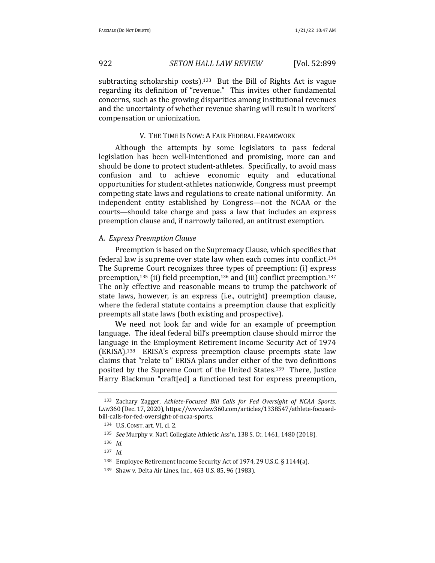subtracting scholarship costs).<sup>133</sup> But the Bill of Rights Act is vague regarding its definition of "revenue." This invites other fundamental concerns, such as the growing disparities among institutional revenues and the uncertainty of whether revenue sharing will result in workers' compensation or unionization.

#### V. THE TIME IS NOW: A FAIR FEDERAL FRAMEWORK

Although the attempts by some legislators to pass federal legislation has been well-intentioned and promising, more can and should be done to protect student-athletes. Specifically, to avoid mass confusion and to achieve economic equity and educational opportunities for student-athletes nationwide, Congress must preempt competing state laws and regulations to create national uniformity. An independent entity established by Congress—not the NCAA or the courts—should take charge and pass a law that includes an express preemption clause and, if narrowly tailored, an antitrust exemption.

#### A. *Express Preemption Clause*

Preemption is based on the Supremacy Clause, which specifies that federal law is supreme over state law when each comes into conflict.<sup>134</sup> The Supreme Court recognizes three types of preemption: (i) express preemption,<sup>135</sup> (ii) field preemption,<sup>136</sup> and (iii) conflict preemption.<sup>137</sup> The only effective and reasonable means to trump the patchwork of state laws, however, is an express (i.e., outright) preemption clause, where the federal statute contains a preemption clause that explicitly preempts all state laws (both existing and prospective).

We need not look far and wide for an example of preemption language. The ideal federal bill's preemption clause should mirror the language in the Employment Retirement Income Security Act of 1974  $(ERISA).<sup>138</sup>$  ERISA's express preemption clause preempts state law claims that "relate to" ERISA plans under either of the two definitions posited by the Supreme Court of the United States.<sup>139</sup> There, Justice Harry Blackmun "craft[ed] a functioned test for express preemption,

<sup>133</sup> Zachary Zagger, *Athlete-Focused Bill Calls for Fed Oversight of NCAA Sports*, LAW360 (Dec. 17, 2020), https://www.law360.com/articles/1338547/athlete-focusedbill-calls-for-fed-oversight-of-ncaa-sports.

<sup>134</sup> U.S. CONST. art. VI, cl. 2.

<sup>135</sup> *See* Murphy v. Nat'l Collegiate Athletic Ass'n, 138 S. Ct. 1461, 1480 (2018).

<sup>136</sup> *Id*.

<sup>137</sup> *Id*.

<sup>&</sup>lt;sup>138</sup> Employee Retirement Income Security Act of 1974, 29 U.S.C. § 1144(a).

<sup>139</sup> Shaw v. Delta Air Lines, Inc., 463 U.S. 85, 96 (1983).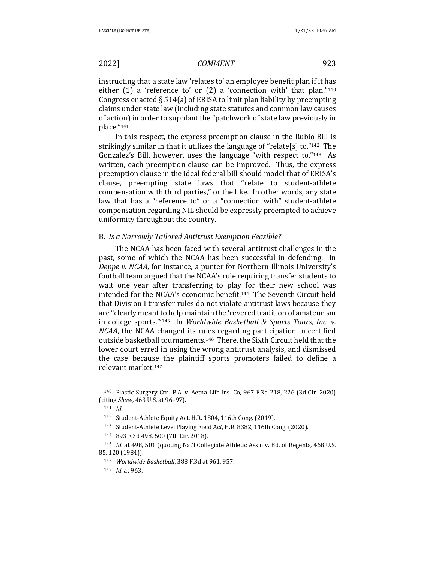instructing that a state law 'relates to' an employee benefit plan if it has either  $(1)$  a 'reference to' or  $(2)$  a 'connection with' that plan."<sup>140</sup> Congress enacted  $\S 514(a)$  of ERISA to limit plan liability by preempting claims under state law (including state statutes and common law causes of action) in order to supplant the "patchwork of state law previously in place."141

In this respect, the express preemption clause in the Rubio Bill is strikingly similar in that it utilizes the language of "relate[s] to."<sup>142</sup> The Gonzalez's Bill, however, uses the language "with respect to." $143$  As written, each preemption clause can be improved. Thus, the express preemption clause in the ideal federal bill should model that of ERISA's clause, preempting state laws that "relate to student-athlete compensation with third parties," or the like. In other words, any state law that has a "reference to" or a "connection with" student-athlete compensation regarding NIL should be expressly preempted to achieve uniformity throughout the country.

### B. Is a Narrowly Tailored Antitrust Exemption Feasible?

The NCAA has been faced with several antitrust challenges in the past, some of which the NCAA has been successful in defending. In *Deppe v. NCAA*, for instance, a punter for Northern Illinois University's football team argued that the NCAA's rule requiring transfer students to wait one year after transferring to play for their new school was intended for the NCAA's economic benefit.<sup>144</sup> The Seventh Circuit held that Division I transfer rules do not violate antitrust laws because they are "clearly meant to help maintain the 'revered tradition of amateurism in college sports."<sup>145</sup> In *Worldwide Basketball & Sports Tours, Inc. v. NCAA*, the NCAA changed its rules regarding participation in certified outside basketball tournaments.<sup>146</sup> There, the Sixth Circuit held that the lower court erred in using the wrong antitrust analysis, and dismissed the case because the plaintiff sports promoters failed to define a relevant market.<sup>147</sup>

 $140$  Plastic Surgery Ctr., P.A. v. Aetna Life Ins. Co, 967 F.3d 218, 226 (3d Cir. 2020) (citing *Shaw*, 463 U.S. at 96-97).

<sup>141</sup> *Id*.

<sup>&</sup>lt;sup>142</sup> Student-Athlete Equity Act, H.R. 1804, 116th Cong. (2019).

<sup>&</sup>lt;sup>143</sup> Student-Athlete Level Playing Field Act, H.R. 8382, 116th Cong. (2020).

<sup>144 893</sup> F.3d 498, 500 (7th Cir. 2018).

<sup>&</sup>lt;sup>145</sup> *Id.* at 498, 501 (quoting Nat'l Collegiate Athletic Ass'n v. Bd. of Regents, 468 U.S. 85, 120 (1984)). 

<sup>146</sup> *Worldwide Basketball*, 388 F.3d at 961, 957.

<sup>147</sup> *Id.* at 963.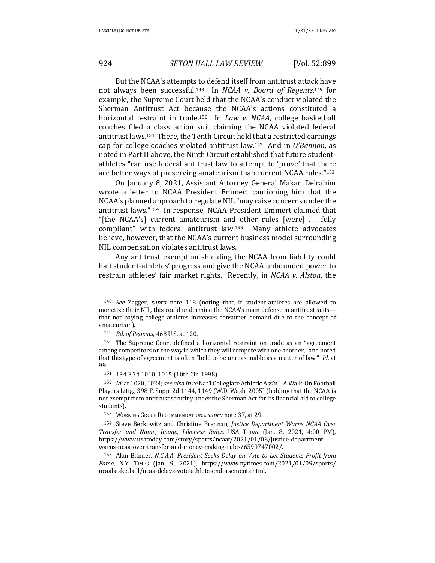But the NCAA's attempts to defend itself from antitrust attack have not always been successful.<sup>148</sup> In *NCAA v. Board of Regents*,<sup>149</sup> for example, the Supreme Court held that the NCAA's conduct violated the Sherman Antitrust Act because the NCAA's actions constituted a horizontal restraint in trade.<sup>150</sup> In *Law v. NCAA*, college basketball coaches filed a class action suit claiming the NCAA violated federal antitrust laws.<sup>151</sup> There, the Tenth Circuit held that a restricted earnings cap for college coaches violated antitrust law.<sup>152</sup> And in *O'Bannon*, as noted in Part II above, the Ninth Circuit established that future studentathletes "can use federal antitrust law to attempt to 'prove' that there are better ways of preserving amateurism than current NCAA rules."153

On January 8, 2021, Assistant Attorney General Makan Delrahim wrote a letter to NCAA President Emmert cautioning him that the NCAA's planned approach to regulate NIL "may raise concerns under the antitrust laws."<sup>154</sup> In response, NCAA President Emmert claimed that "[the NCAA's] current amateurism and other rules [were]  $\dots$  fully compliant" with federal antitrust law.<sup>155</sup> Many athlete advocates believe, however, that the NCAA's current business model surrounding NIL compensation violates antitrust laws.

Any antitrust exemption shielding the NCAA from liability could halt student-athletes' progress and give the NCAA unbounded power to restrain athletes' fair market rights. Recently, in *NCAA v. Alston*, the

<sup>&</sup>lt;sup>148</sup> *See* Zagger, *supra* note 118 (noting that, if student-athletes are allowed to monetize their NIL, this could undermine the NCAA's main defense in antitrust suits that not paying college athletes increases consumer demand due to the concept of amateurism). 

<sup>149</sup> *Bd. of Regents*, 468 U.S. at 120.

<sup>&</sup>lt;sup>150</sup> The Supreme Court defined a horizontal restraint on trade as an "agreement among competitors on the way in which they will compete with one another," and noted that this type of agreement is often "held to be unreasonable as a matter of law." *Id.* at 99.

<sup>151 134</sup> F.3d 1010, 1015 (10th Cir. 1998).

<sup>152</sup> *Id.* at 1020, 1024; see also In re Nat'l Collegiate Athletic Ass'n I-A Walk-On Football Players Litig., 398 F. Supp. 2d 1144, 1149 (W.D. Wash. 2005) (holding that the NCAA is not exempt from antitrust scrutiny under the Sherman Act for its financial aid to college students). 

<sup>153</sup> WORKING GROUP RECOMMENDATIONS, *supra* note 37, at 29.

<sup>&</sup>lt;sup>154</sup> Steve Berkowitz and Christine Brennan, *Justice Department Warns NCAA Over Transfer and Name, Image, Likeness Rules*, USA Topay (Jan. 8, 2021, 4:00 PM), https://www.usatoday.com/story/sports/ncaaf/2021/01/08/justice-departmentwarns-ncaa-over-transfer-and-money-making-rules/6599747002/.

<sup>&</sup>lt;sup>155</sup> Alan Blinder, *N.C.A.A. President Seeks Delay on Vote to Let Students Profit from Fame*, N.Y. TIMES (Jan. 9, 2021), https://www.nytimes.com/2021/01/09/sports/ ncaabasketball/ncaa-delays-vote-athlete-endorsements.html.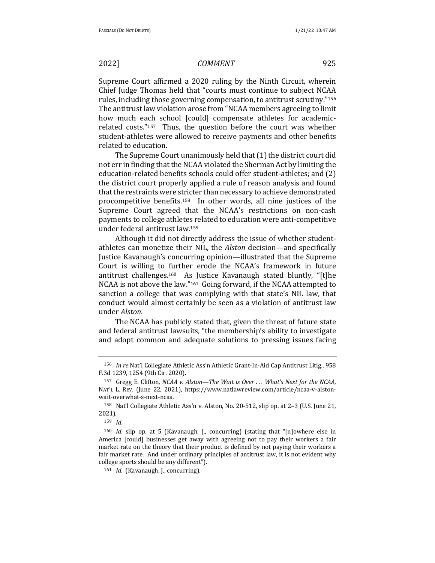Supreme Court affirmed a 2020 ruling by the Ninth Circuit, wherein Chief Judge Thomas held that "courts must continue to subject NCAA rules, including those governing compensation, to antitrust scrutiny."<sup>156</sup> The antitrust law violation arose from "NCAA members agreeing to limit how much each school [could] compensate athletes for academicrelated  $costs." <sup>157</sup>$  Thus, the question before the court was whether student-athletes were allowed to receive payments and other benefits related to education.

The Supreme Court unanimously held that  $(1)$  the district court did not err in finding that the NCAA violated the Sherman Act by limiting the education-related benefits schools could offer student-athletes; and (2) the district court properly applied a rule of reason analysis and found that the restraints were stricter than necessary to achieve demonstrated procompetitive benefits.<sup>158</sup> In other words, all nine justices of the Supreme Court agreed that the NCAA's restrictions on non-cash payments to college athletes related to education were anti-competitive under federal antitrust law.<sup>159</sup>

Although it did not directly address the issue of whether studentathletes can monetize their NIL, the *Alston* decision—and specifically Justice Kavanaugh's concurring opinion—illustrated that the Supreme Court is willing to further erode the NCAA's framework in future antitrust challenges.<sup>160</sup> As Justice Kavanaugh stated bluntly, "[t]he NCAA is not above the law."<sup>161</sup> Going forward, if the NCAA attempted to sanction a college that was complying with that state's NIL law, that conduct would almost certainly be seen as a violation of antitrust law under *Alston*.

The NCAA has publicly stated that, given the threat of future state and federal antitrust lawsuits, "the membership's ability to investigate and adopt common and adequate solutions to pressing issues facing

<sup>156</sup> *In re* Nat'l Collegiate Athletic Ass'n Athletic Grant-In-Aid Cap Antitrust Litig., 958 F.3d 1239, 1254 (9th Cir. 2020). 

<sup>157</sup> Gregg E. Clifton, *NCAA v. Alston—The Wait is Over* ... What's Next for the NCAA, NAT'L L. REV. (June 22, 2021), https://www.natlawreview.com/article/ncaa-v-alstonwait-overwhat-s-next-ncaa.

<sup>158</sup> Nat'l Collegiate Athletic Ass'n v. Alston, No. 20-512, slip op. at 2-3 (U.S. June 21, 2021).

<sup>159</sup> *Id*. 

<sup>&</sup>lt;sup>160</sup> *Id.* slip op. at 5 (Kavanaugh, J., concurring) (stating that "[n]owhere else in America [could] businesses get away with agreeing not to pay their workers a fair market rate on the theory that their product is defined by not paying their workers a fair market rate. And under ordinary principles of antitrust law, it is not evident why college sports should be any different").

<sup>161</sup> *Id.* (Kavanaugh, J., concurring).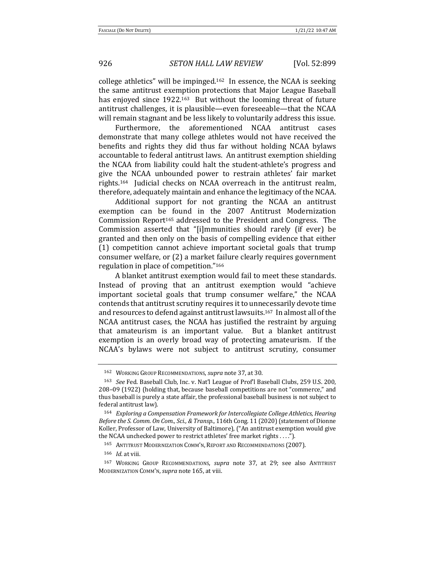college athletics" will be impinged.<sup>162</sup> In essence, the NCAA is seeking the same antitrust exemption protections that Major League Baseball has enjoyed since 1922.<sup>163</sup> But without the looming threat of future antitrust challenges, it is plausible—even foreseeable—that the NCAA will remain stagnant and be less likely to voluntarily address this issue.

Furthermore, the aforementioned NCAA antitrust cases demonstrate that many college athletes would not have received the benefits and rights they did thus far without holding NCAA bylaws accountable to federal antitrust laws. An antitrust exemption shielding the NCAA from liability could halt the student-athlete's progress and give the NCAA unbounded power to restrain athletes' fair market rights.<sup>164</sup> Judicial checks on NCAA overreach in the antitrust realm, therefore, adequately maintain and enhance the legitimacy of the NCAA.

Additional support for not granting the NCAA an antitrust exemption can be found in the 2007 Antitrust Modernization Commission Report<sup>165</sup> addressed to the President and Congress. The Commission asserted that "[i]mmunities should rarely (if ever) be granted and then only on the basis of compelling evidence that either (1) competition cannot achieve important societal goals that trump consumer welfare, or (2) a market failure clearly requires government regulation in place of competition."166

A blanket antitrust exemption would fail to meet these standards. Instead of proving that an antitrust exemption would "achieve important societal goals that trump consumer welfare," the NCAA contends that antitrust scrutiny requires it to unnecessarily devote time and resources to defend against antitrust lawsuits.<sup>167</sup> In almost all of the NCAA antitrust cases, the NCAA has justified the restraint by arguing that amateurism is an important value. But a blanket antitrust exemption is an overly broad way of protecting amateurism. If the NCAA's bylaws were not subject to antitrust scrutiny, consumer

<sup>&</sup>lt;sup>162</sup> WORKING GROUP RECOMMENDATIONS, *supra* note 37, at 30.

<sup>&</sup>lt;sup>163</sup> *See* Fed. Baseball Club, Inc. v. Nat'l League of Prof'l Baseball Clubs, 259 U.S. 200, 208–09 (1922) (holding that, because baseball competitions are not "commerce," and thus baseball is purely a state affair, the professional baseball business is not subject to federal antitrust law).

<sup>164</sup> Exploring a Compensation Framework for Intercollegiate College Athletics, Hearing *Before the S. Comm. On Com., Sci., & Transp.*, 116th Cong. 11 (2020) (statement of Dionne Koller, Professor of Law, University of Baltimore), ("An antitrust exemption would give the NCAA unchecked power to restrict athletes' free market rights . . . .").

<sup>165</sup> ANTITRUST MODERNIZATION COMM'N, REPORT AND RECOMMENDATIONS (2007).

<sup>166</sup> *Id.* at viii.

<sup>&</sup>lt;sup>167</sup> WORKING GROUP RECOMMENDATIONS, *supra* note 37, at 29; see also ANTITRUST MODERNIZATION COMM'N, *supra* note 165, at viii.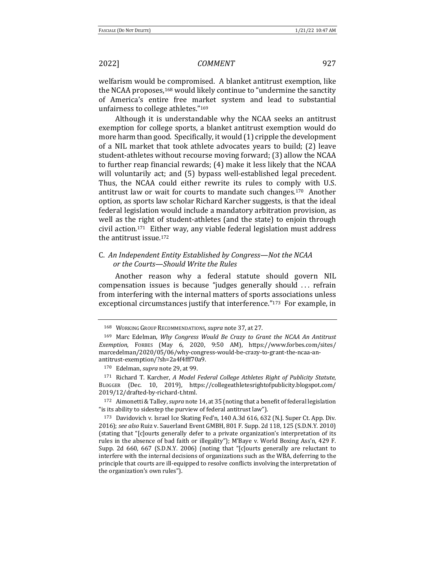welfarism would be compromised. A blanket antitrust exemption, like the NCAA proposes,<sup>168</sup> would likely continue to "undermine the sanctity of America's entire free market system and lead to substantial unfairness to college athletes."169

Although it is understandable why the NCAA seeks an antitrust exemption for college sports, a blanket antitrust exemption would do more harm than good. Specifically, it would (1) cripple the development of a NIL market that took athlete advocates years to build; (2) leave student-athletes without recourse moving forward; (3) allow the NCAA to further reap financial rewards; (4) make it less likely that the NCAA will voluntarily act; and (5) bypass well-established legal precedent. Thus, the NCAA could either rewrite its rules to comply with U.S. antitrust law or wait for courts to mandate such changes.<sup>170</sup> Another option, as sports law scholar Richard Karcher suggests, is that the ideal federal legislation would include a mandatory arbitration provision, as well as the right of student-athletes (and the state) to enjoin through civil action.<sup>171</sup> Either way, any viable federal legislation must address the antitrust issue.<sup>172</sup>

# C. An Independent Entity Established by Congress—Not the NCAA *or the Courts—Should Write the Rules*

Another reason why a federal statute should govern NIL compensation issues is because "judges generally should ... refrain from interfering with the internal matters of sports associations unless exceptional circumstances justify that interference."<sup>173</sup> For example, in

<sup>171</sup> Richard T. Karcher, *A Model Federal College Athletes Right of Publicity Statute*, BLOGGER (Dec. 10, 2019), https://collegeathletesrightofpublicity.blogspot.com/ 2019/12/drafted-by-richard-t.html.

<sup>172</sup> Aimonetti & Talley, *supra* note 14, at 35 (noting that a benefit of federal legislation "is its ability to sidestep the purview of federal antitrust law").

173 Davidovich v. Israel Ice Skating Fed'n, 140 A.3d 616, 632 (N.J. Super Ct. App. Div. 2016); see also Ruiz v. Sauerland Event GMBH, 801 F. Supp. 2d 118, 125 (S.D.N.Y. 2010) (stating that "[c]ourts generally defer to a private organization's interpretation of its rules in the absence of bad faith or illegality"); M'Baye v. World Boxing Ass'n, 429 F. Supp. 2d 660, 667 (S.D.N.Y. 2006) (noting that "[c]ourts generally are reluctant to interfere with the internal decisions of organizations such as the WBA, deferring to the principle that courts are ill-equipped to resolve conflicts involving the interpretation of the organization's own rules").

<sup>168</sup> WORKING GROUP RECOMMENDATIONS, *supra* note 37, at 27.

<sup>&</sup>lt;sup>169</sup> Marc Edelman, *Why Congress Would Be Crazy to Grant the NCAA An Antitrust Exemption*, FORBES (May 6, 2020, 9:50 AM), https://www.forbes.com/sites/ marcedelman/2020/05/06/why-congress-would-be-crazy-to-grant-the-ncaa-anantitrust-exemption/?sh=2a4f4fff70a9.

<sup>170</sup> Edelman, *supra* note 29, at 99.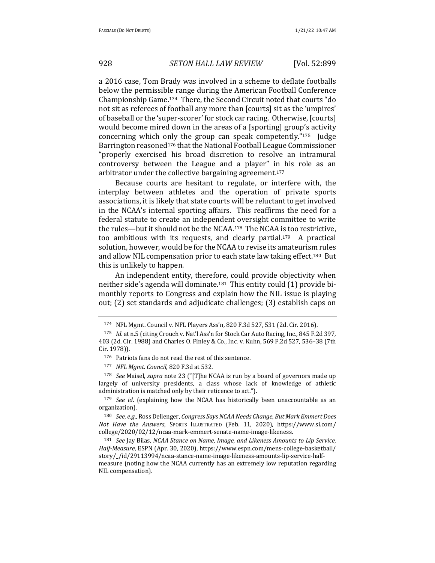a 2016 case, Tom Brady was involved in a scheme to deflate footballs below the permissible range during the American Football Conference Championship Game.<sup>174</sup> There, the Second Circuit noted that courts "do not sit as referees of football any more than [courts] sit as the 'umpires' of baseball or the 'super-scorer' for stock car racing. Otherwise, [courts] would become mired down in the areas of a [sporting] group's activity concerning which only the group can speak competently." $175$  Judge Barrington reasoned<sup>176</sup> that the National Football League Commissioner "properly exercised his broad discretion to resolve an intramural controversy between the League and a player" in his role as an arbitrator under the collective bargaining agreement.<sup>177</sup>

Because courts are hesitant to regulate, or interfere with, the interplay between athletes and the operation of private sports associations, it is likely that state courts will be reluctant to get involved in the NCAA's internal sporting affairs. This reaffirms the need for a federal statute to create an independent oversight committee to write the rules—but it should not be the NCAA.<sup>178</sup> The NCAA is too restrictive, too ambitious with its requests, and clearly partial.<sup>179</sup> A practical solution, however, would be for the NCAA to revise its amateurism rules and allow NIL compensation prior to each state law taking effect.<sup>180</sup> But this is unlikely to happen.

An independent entity, therefore, could provide objectivity when neither side's agenda will dominate.<sup>181</sup> This entity could  $(1)$  provide bimonthly reports to Congress and explain how the NIL issue is playing out; (2) set standards and adjudicate challenges; (3) establish caps on

177 *NFL Mgmt. Council*, 820 F.3d at 532.

<sup>178</sup> *See* Maisel, *supra* note 23 ("[T]he NCAA is run by a board of governors made up largely of university presidents, a class whose lack of knowledge of athletic administration is matched only by their reticence to act.").

<sup>179</sup> *See id.* (explaining how the NCAA has historically been unaccountable as an organization). 

<sup>180</sup> *See, e.g.*, Ross Dellenger, *Congress Says NCAA Needs Change, But Mark Emmert Does Not Have the Answers*, SPORTS ILLUSTRATED (Feb. 11, 2020), https://www.si.com/ college/2020/02/12/ncaa-mark-emmert-senate-name-image-likeness.

<sup>181</sup> *See* Jay Bilas, *NCAA Stance on Name, Image, and Likeness Amounts to Lip Service, Half-Measure*, ESPN (Apr. 30, 2020), https://www.espn.com/mens-college-basketball/ story/\_/id/29113994/ncaa-stance-name-image-likeness-amounts-lip-service-halfmeasure (noting how the NCAA currently has an extremely low reputation regarding NIL compensation).

<sup>174</sup> NFL Mgmt. Council v. NFL Players Ass'n, 820 F.3d 527, 531 (2d. Cir. 2016).

<sup>175</sup> *Id.* at n.5 (citing Crouch v. Nat'l Ass'n for Stock Car Auto Racing, Inc., 845 F.2d 397, 403 (2d. Cir. 1988) and Charles O. Finley & Co., Inc. v. Kuhn, 569 F.2d 527, 536-38 (7th Cir. 1978)). 

<sup>176</sup> Patriots fans do not read the rest of this sentence.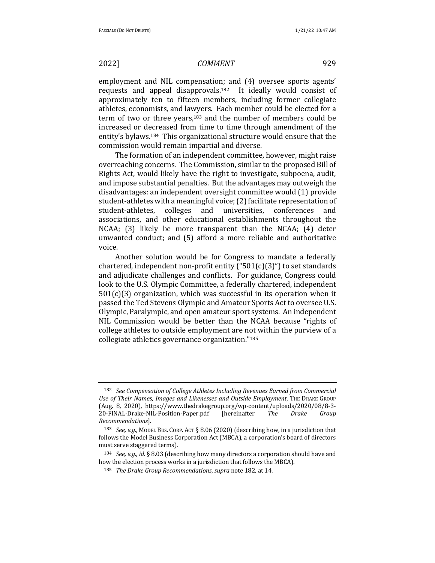employment and NIL compensation; and (4) oversee sports agents' requests and appeal disapprovals.<sup>182</sup> It ideally would consist of approximately ten to fifteen members, including former collegiate athletes, economists, and lawyers. Each member could be elected for a term of two or three years, $183$  and the number of members could be increased or decreased from time to time through amendment of the entity's bylaws.<sup>184</sup> This organizational structure would ensure that the commission would remain impartial and diverse.

The formation of an independent committee, however, might raise overreaching concerns. The Commission, similar to the proposed Bill of Rights Act, would likely have the right to investigate, subpoena, audit, and impose substantial penalties. But the advantages may outweigh the disadvantages: an independent oversight committee would (1) provide student-athletes with a meaningful voice; (2) facilitate representation of student-athletes, colleges and universities, conferences and associations, and other educational establishments throughout the  $NCAA$ ; (3) likely be more transparent than the  $NCAA$ ; (4) deter unwanted conduct; and (5) afford a more reliable and authoritative voice. 

Another solution would be for Congress to mandate a federally chartered, independent non-profit entity  $("501(c)(3)"$  to set standards and adjudicate challenges and conflicts. For guidance, Congress could look to the U.S. Olympic Committee, a federally chartered, independent  $501(c)(3)$  organization, which was successful in its operation when it passed the Ted Stevens Olympic and Amateur Sports Act to oversee U.S. Olympic, Paralympic, and open amateur sport systems. An independent NIL Commission would be better than the NCAA because "rights of college athletes to outside employment are not within the purview of a collegiate athletics governance organization."<sup>185</sup>

<sup>&</sup>lt;sup>182</sup> *See Compensation of College Athletes Including Revenues Earned from Commercial* Use of Their Names, Images and Likenesses and Outside Employment, THE DRAKE GROUP (Aug. 8, 2020), https://www.thedrakegroup.org/wp-content/uploads/2020/08/8-3- 20-FINAL-Drake-NIL-Position-Paper.pdf [hereinafter *The Drake Group Recommendations*].

<sup>&</sup>lt;sup>183</sup> *See, e.g.*, MODEL BUS. CORP. ACT § 8.06 (2020) (describing how, in a jurisdiction that follows the Model Business Corporation Act (MBCA), a corporation's board of directors must serve staggered terms).

 $184$  *See, e.g., id.* § 8.03 (describing how many directors a corporation should have and how the election process works in a jurisdiction that follows the MBCA).

<sup>185</sup> *The Drake Group Recommendations, supra* note 182, at 14.